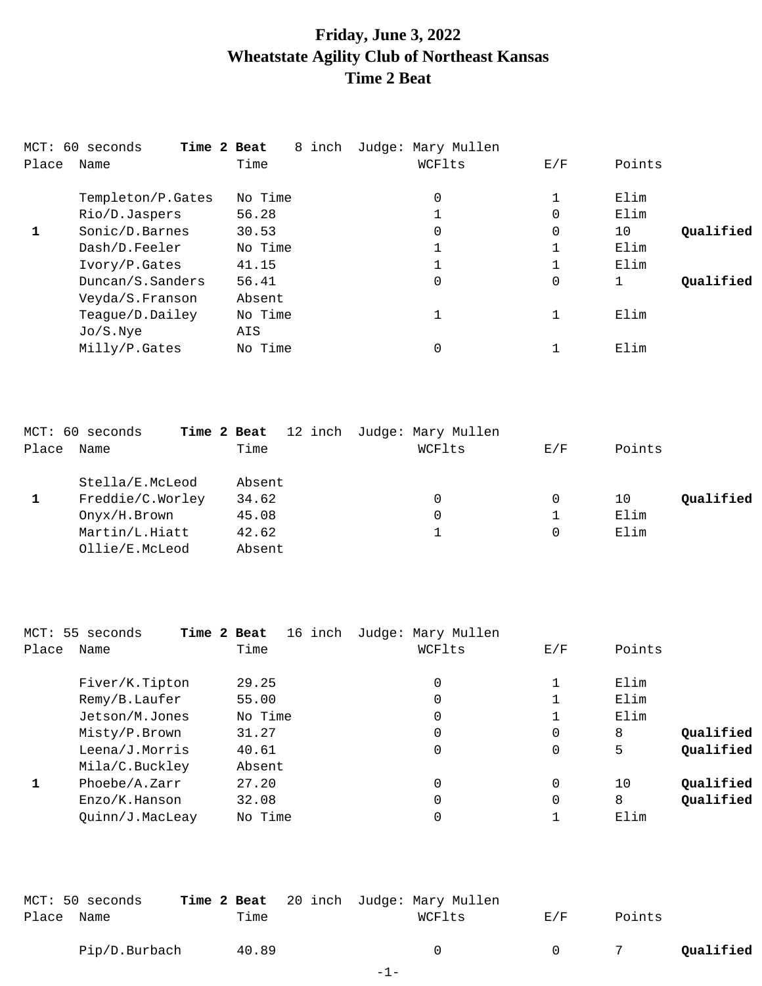## **Friday, June 3, 2022 Wheatstate Agility Club of Northeast Kansas Time 2 Beat**

|       | Time 2 Beat<br>MCT: 60 seconds | 8 inch  | Judge: Mary Mullen |             |                 |
|-------|--------------------------------|---------|--------------------|-------------|-----------------|
| Place | Name                           | Time    | WCFlts             | E/F         | Points          |
|       | Templeton/P.Gates              | No Time | 0                  |             | Elim            |
|       | Rio/D.Jaspers                  | 56.28   | 1                  | 0           | Elim            |
|       | Sonic/D.Barnes                 | 30.53   | 0                  | $\mathbf 0$ | Qualified<br>10 |
|       | Dash/D.Feeler                  | No Time | 1                  |             | Elim            |
|       | Ivory/P.Gates                  | 41.15   | 1                  | 1<br>┻      | Elim            |
|       | Duncan/S.Sanders               | 56.41   | 0                  | 0           | Qualified       |
|       | Veyda/S.Franson                | Absent  |                    |             |                 |
|       | Teague/D.Dailey                | No Time | 1                  | 1           | Elim            |
|       | Jo/S.Nye                       | AIS     |                    |             |                 |
|       | Milly/P.Gates                  | No Time | 0                  |             | Elim            |

|       | MCT: 60 seconds  | Time 2 Beat | 12 inch Judge: Mary Mullen |     |                 |
|-------|------------------|-------------|----------------------------|-----|-----------------|
| Place | Name             | Time        | WCFlts                     | E/F | Points          |
|       | Stella/E.McLeod  | Absent      |                            |     |                 |
|       | Freddie/C.Worley | 34.62       | 0                          | 0   | Oualified<br>10 |
|       | Onyx/H.Brown     | 45.08       | 0                          |     | Elim            |
|       | Martin/L.Hiatt   | 42.62       |                            | 0   | Elim            |
|       | Ollie/E.McLeod   | Absent      |                            |     |                 |

| MCT: 55 seconds    | 16 inch<br>Time 2 Beat | Judge: Mary Mullen |          |        |           |
|--------------------|------------------------|--------------------|----------|--------|-----------|
| Place<br>Name      | Time                   | WCFlts             | E/F      | Points |           |
| Fiver/K.Tipton     | 29.25                  | 0                  |          | Elim   |           |
| Remy/B.Laufer      | 55.00                  | 0                  |          | Elim   |           |
| Jetson/M.Jones     | No Time                | 0                  |          | Elim   |           |
| Misty/P.Brown      | 31.27                  | 0                  | 0        | 8      | Qualified |
| Leena/J.Morris     | 40.61                  | 0                  | 0        | 5      | Qualified |
| Mila/C.Buckley     | Absent                 |                    |          |        |           |
| Phoebe/A.Zarr<br>1 | 27.20                  | 0                  | $\Omega$ | 10     | Qualified |
| Enzo/K.Hanson      | 32.08                  | 0                  | 0        | 8      | Qualified |
| Quinn/J.MacLeay    | No Time                | 0                  |          | Elim   |           |

|            | MCT: 50 seconds |       | Time 2 Beat 20 inch Judge: Mary Mullen |        |        |           |
|------------|-----------------|-------|----------------------------------------|--------|--------|-----------|
| Place Name |                 | Time  | WCFlts                                 | E/F    | Points |           |
|            | Pip/D.Burbach   | 40.89 | $\cap$                                 | $\cap$ |        | Qualified |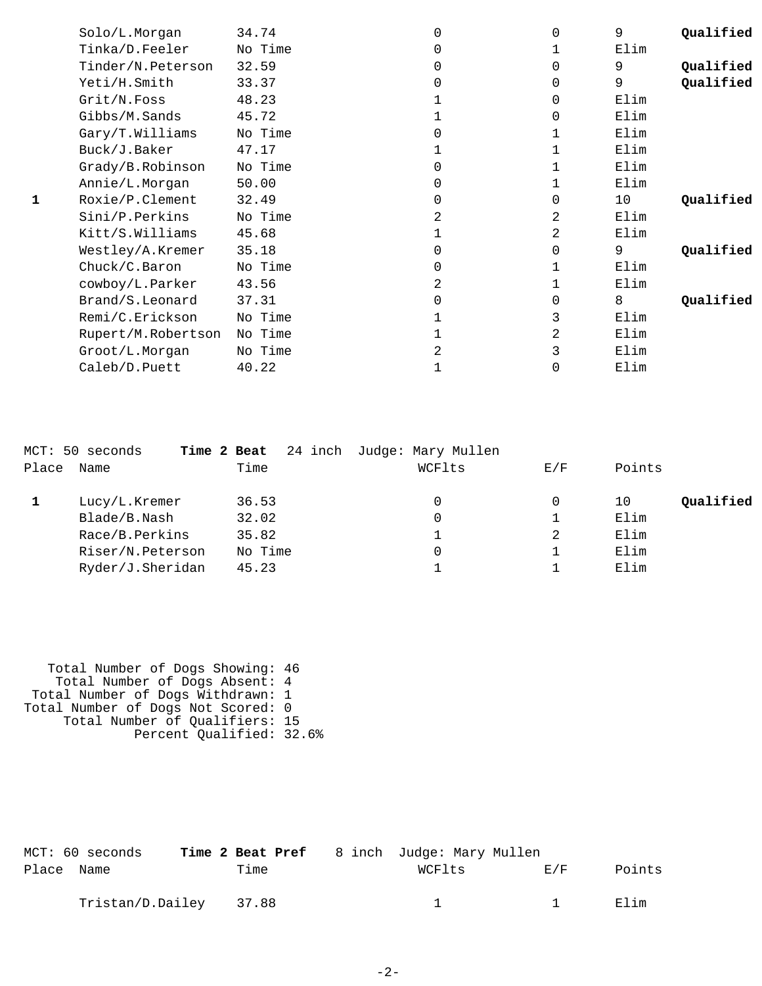|   | Solo/L.Morgan      | 34.74   |   | <sup>0</sup> | 9    | Qualified |
|---|--------------------|---------|---|--------------|------|-----------|
|   | Tinka/D.Feeler     | No Time |   |              | Elim |           |
|   | Tinder/N.Peterson  | 32.59   |   | $\Omega$     | 9    | Qualified |
|   | Yeti/H.Smith       | 33.37   |   | $\Omega$     | 9    | Qualified |
|   | Grit/N.Foss        | 48.23   |   | $\Omega$     | Elim |           |
|   | Gibbs/M.Sands      | 45.72   |   | $\Omega$     | Elim |           |
|   | Gary/T.Williams    | No Time |   |              | Elim |           |
|   | Buck/J.Baker       | 47.17   |   |              | Elim |           |
|   | Grady/B.Robinson   | No Time | 0 |              | Elim |           |
|   | Annie/L.Morgan     | 50.00   |   |              | Elim |           |
| 1 | Roxie/P.Clement    | 32.49   |   | $\Omega$     | 10   | Qualified |
|   | Sini/P.Perkins     | No Time |   | 2            | Elim |           |
|   | Kitt/S.Williams    | 45.68   |   | 2            | Elim |           |
|   | Westley/A.Kremer   | 35.18   |   | 0            | 9    | Qualified |
|   | Chuck/C.Baron      | No Time |   |              | Elim |           |
|   | cowboy/L.Parker    | 43.56   | 2 |              | Elim |           |
|   | Brand/S.Leonard    | 37.31   |   | $\Omega$     | 8    | Qualified |
|   | Remi/C.Erickson    | No Time |   | 3            | Elim |           |
|   | Rupert/M.Robertson | No Time |   | 2            | Elim |           |
|   | Groot/L.Morgan     | No Time |   | 3            | Elim |           |
|   | Caleb/D.Puett      | 40.22   |   | 0            | Elim |           |

|       | MCT: 50 seconds  | 24 inch<br>Time 2 Beat | Judge: Mary Mullen |     |                 |
|-------|------------------|------------------------|--------------------|-----|-----------------|
| Place | Name             | Time                   | WCFlts             | E/F | Points          |
|       | Lucy/L.Kremer    | 36.53                  | 0                  | 0   | Qualified<br>10 |
|       | Blade/B.Nash     | 32.02                  |                    |     | Elim            |
|       | Race/B.Perkins   | 35.82                  |                    | 2   | Elim            |
|       | Riser/N.Peterson | No Time                |                    |     | Elim            |
|       | Ryder/J.Sheridan | 45.23                  |                    |     | Elim            |
|       |                  |                        |                    |     |                 |

 Total Number of Dogs Showing: 46 Total Number of Dogs Absent: 4 Total Number of Dogs Withdrawn: 1 Total Number of Dogs Not Scored: 0 Total Number of Qualifiers: 15 Percent Qualified: 32.6%

|            | MCT: 60 seconds        |      | <b>Time 2 Beat Pref</b> 8 inch Judge: Mary Mullen |                |        |
|------------|------------------------|------|---------------------------------------------------|----------------|--------|
| Place Name |                        | Time | WCFlts                                            | F. / F         | Points |
|            | Tristan/D.Dailey 37.88 |      |                                                   | $\overline{1}$ | Elim   |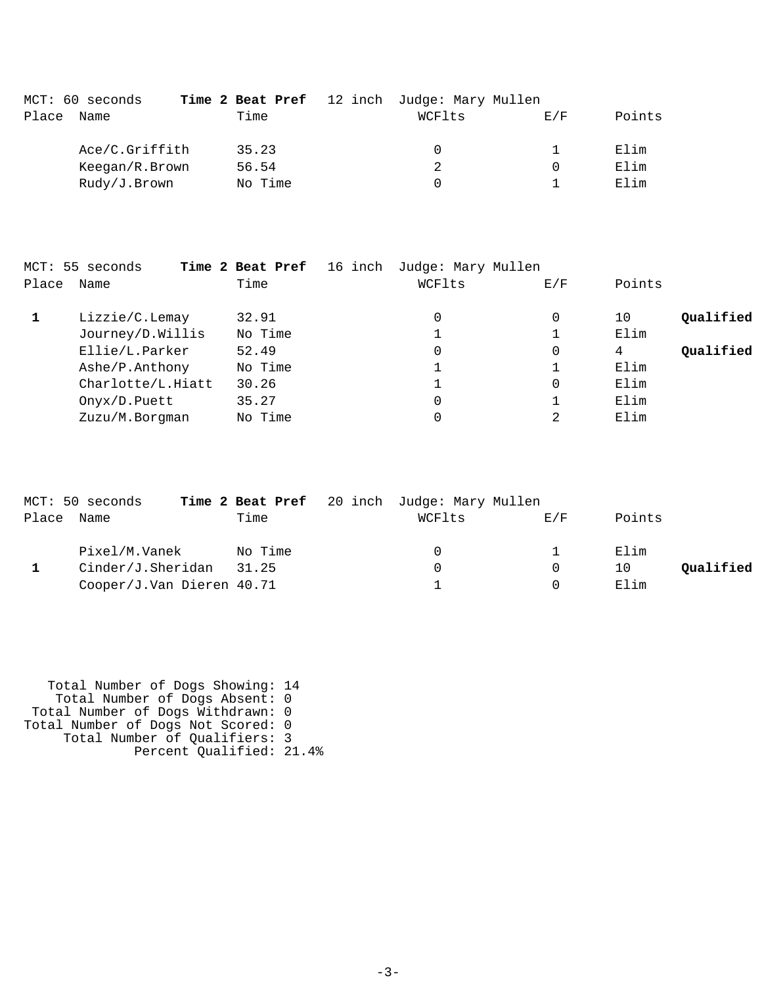|       | MCT: 60 seconds |         | <b>Time 2 Beat Pref</b> 12 inch Judge: Mary Mullen |     |        |
|-------|-----------------|---------|----------------------------------------------------|-----|--------|
| Place | Name            | Time    | WCFlts                                             | E/F | Points |
|       | Ace/C.Griffith  | 35.23   | 0                                                  |     | Elim   |
|       | Keegan/R.Brown  | 56.54   | 2                                                  |     | Elim   |
|       | Rudy/J.Brown    | No Time | 0                                                  |     | Elim   |

|       | MCT: 55 seconds   | 16 inch<br>Time 2 Beat Pref | Judge: Mary Mullen |     |                 |
|-------|-------------------|-----------------------------|--------------------|-----|-----------------|
| Place | Name              | Time                        | WCFlts             | E/F | Points          |
|       | Lizzie/C.Lemay    | 32.91                       | 0                  | 0   | Qualified<br>10 |
|       | Journey/D.Willis  | No Time                     |                    |     | Elim            |
|       | Ellie/L.Parker    | 52.49                       | 0                  | 0   | Qualified<br>4  |
|       | Ashe/P.Anthony    | No Time                     |                    |     | Elim            |
|       | Charlotte/L.Hiatt | 30.26                       |                    | 0   | Elim            |
|       | Onyx/D.Puett      | 35.27                       | 0                  |     | Elim            |
|       | Zuzu/M.Borgman    | No Time                     | 0                  | 2   | Elim            |
|       |                   |                             |                    |     |                 |

|       | MCT: 50 seconds           |         | Time 2 Beat Pref 20 inch Judge: Mary Mullen |     |                 |  |
|-------|---------------------------|---------|---------------------------------------------|-----|-----------------|--|
| Place | Name                      | Time    | WCFlts                                      | E/F | Points          |  |
|       | Pixel/M.Vanek             | No Time | $\Omega$                                    |     | Elim            |  |
|       | Cinder/J.Sheridan         | 31.25   | $\Omega$                                    |     | Oualified<br>10 |  |
|       | Cooper/J.Van Dieren 40.71 |         |                                             |     | Elim            |  |

 Total Number of Dogs Showing: 14 Total Number of Dogs Absent: 0 Total Number of Dogs Withdrawn: 0 Total Number of Dogs Not Scored: 0 Total Number of Qualifiers: 3 Percent Qualified: 21.4%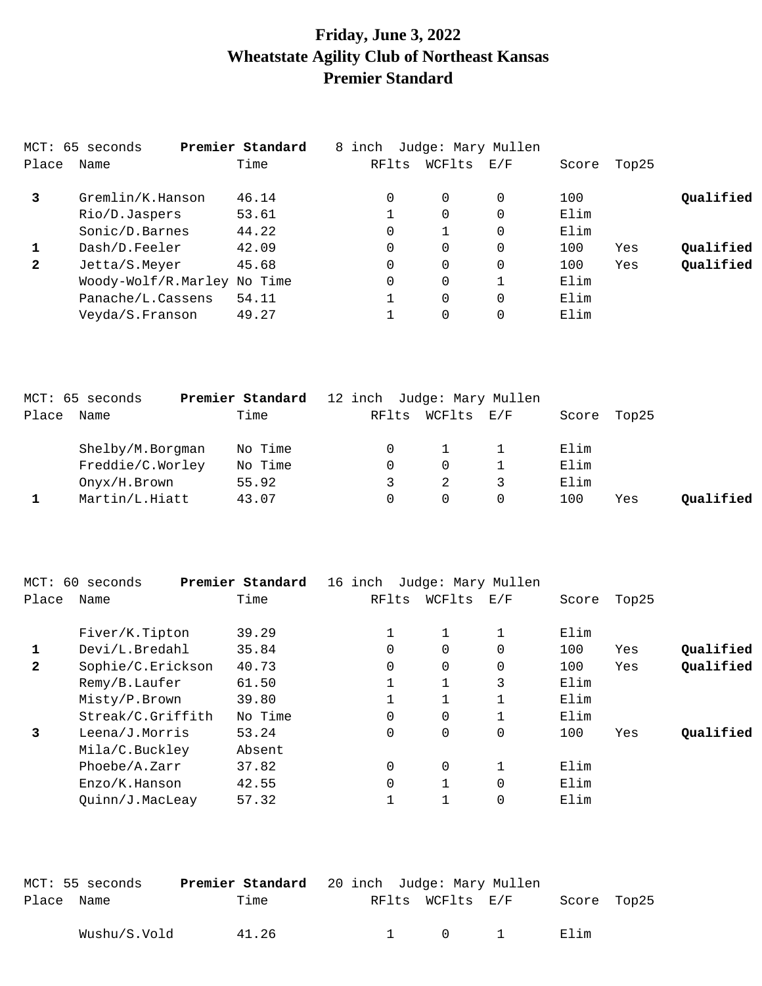## **Friday, June 3, 2022 Wheatstate Agility Club of Northeast Kansas Premier Standard**

|              | MCT: 65 seconds             | Premier Standard | 8 inch | Judge: Mary Mullen |                                                           |       |       |           |
|--------------|-----------------------------|------------------|--------|--------------------|-----------------------------------------------------------|-------|-------|-----------|
| Place        | Name                        | Time             | RFlts  | WCFlts             | $\mathop{\rm E{}}\nolimits$ / $\mathop{\rm F{}}\nolimits$ | Score | Top25 |           |
| 3            | Gremlin/K.Hanson            | 46.14            | 0      | $\Omega$           | 0                                                         | 100   |       | Qualified |
|              | Rio/D.Jaspers               | 53.61            |        | 0                  | 0                                                         | Elim  |       |           |
|              | Sonic/D.Barnes              | 44.22            | 0      |                    | 0                                                         | Elim  |       |           |
| 1            | Dash/D.Feeler               | 42.09            | 0      | 0                  | 0                                                         | 100   | Yes   | Qualified |
| $\mathbf{2}$ | Jetta/S.Meyer               | 45.68            | 0      | 0                  | $\Omega$                                                  | 100   | Yes   | Qualified |
|              | Woody-Wolf/R.Marley No Time |                  | 0      | 0                  |                                                           | Elim  |       |           |
|              | Panache/L.Cassens           | 54.11            |        | 0                  | 0                                                         | Elim  |       |           |
|              | Veyda/S.Franson             | 49.27            |        | 0                  |                                                           | Elim  |       |           |

|       | MCT: 65 seconds  | Premier Standard | 12 inch Judge: Mary Mullen |        |     |      |             |           |
|-------|------------------|------------------|----------------------------|--------|-----|------|-------------|-----------|
| Place | Name             | Time             | RFlts                      | WCFlts | E/F |      | Score Top25 |           |
|       | Shelby/M.Borgman | No Time          |                            |        |     | Elim |             |           |
|       | Freddie/C.Worley | No Time          | $\Omega$                   | 0      |     | Elim |             |           |
|       | Onyx/H.Brown     | 55.92            |                            |        |     | Elim |             |           |
|       | Martin/L.Hiatt   | 43.07            |                            | 0      |     | 100  | Yes         | Oualified |

| 60<br>MCT:   | seconds           | Premier Standard | 16 inch  | Judge: Mary Mullen |                   |       |       |           |
|--------------|-------------------|------------------|----------|--------------------|-------------------|-------|-------|-----------|
| Place        | Name              | Time             | RFlts    | WCFlts             | $\rm E$ / $\rm F$ | Score | Top25 |           |
|              | Fiver/K.Tipton    | 39.29            |          |                    |                   | Elim  |       |           |
| 1            | Devi/L.Bredahl    | 35.84            | 0        | 0                  | 0                 | 100   | Yes   | Oualified |
| $\mathbf{2}$ | Sophie/C.Erickson | 40.73            | $\Omega$ | 0                  | 0                 | 100   | Yes   | Qualified |
|              | Remy/B.Laufer     | 61.50            |          |                    | 3                 | Elim  |       |           |
|              | Misty/P.Brown     | 39.80            |          |                    |                   | Elim  |       |           |
|              | Streak/C.Griffith | No Time          | $\Omega$ | 0                  |                   | Elim  |       |           |
| 3            | Leena/J.Morris    | 53.24            | $\Omega$ | 0                  | 0                 | 100   | Yes   | Oualified |
|              | Mila/C.Buckley    | Absent           |          |                    |                   |       |       |           |
|              | Phoebe/A.Zarr     | 37.82            | $\Omega$ | $\Omega$           |                   | Elim  |       |           |
|              | Enzo/K.Hanson     | 42.55            | $\Omega$ |                    | 0                 | Elim  |       |           |
|              | Quinn/J.MacLeay   | 57.32            |          |                    | 0                 | Elim  |       |           |

|            | MCT: 55 seconds | <b>Premier Standard</b> 20 inch Judge: Mary Mullen |  |                  |             |  |
|------------|-----------------|----------------------------------------------------|--|------------------|-------------|--|
| Place Name |                 | Time                                               |  | RFlts WCFlts E/F | Score Top25 |  |
|            | Wushu/S.Vold    | 41.26                                              |  | 1 0 1            | Elim        |  |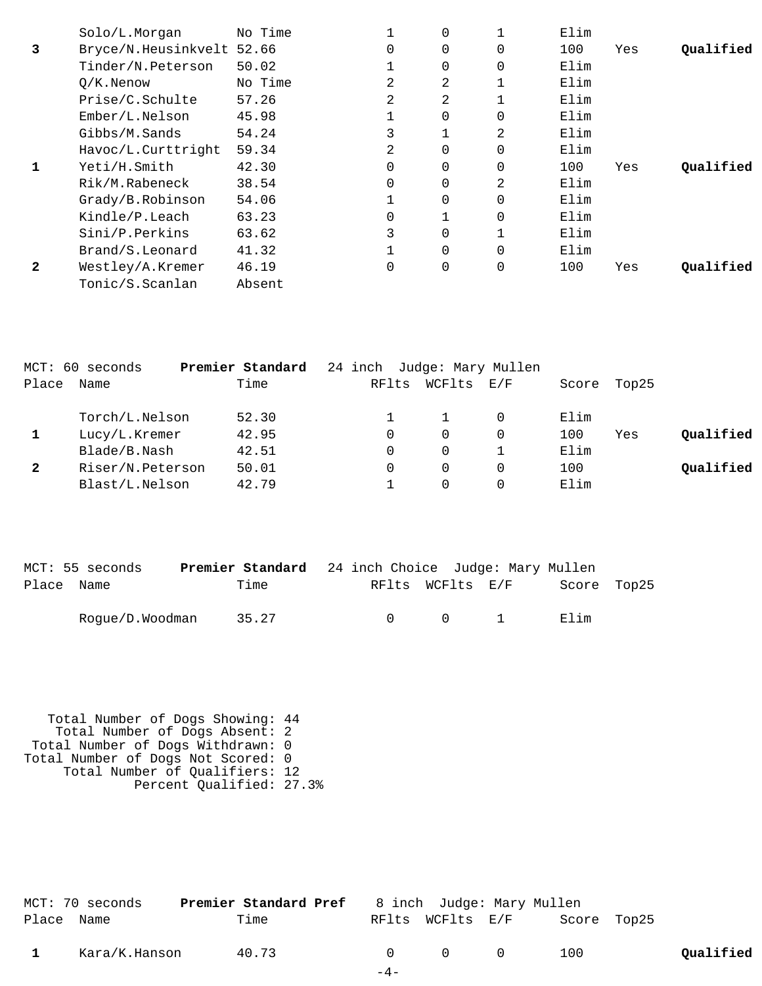|              | Solo/L.Morgan             | No Time |          | $\Omega$ |             | Elim |     |           |
|--------------|---------------------------|---------|----------|----------|-------------|------|-----|-----------|
| 3            | Bryce/N.Heusinkvelt 52.66 |         | $\Omega$ | $\Omega$ | $\Omega$    | 100  | Yes | Oualified |
|              | Tinder/N.Peterson         | 50.02   |          |          | 0           | Elim |     |           |
|              | $O/K$ . Nenow             | No Time | 2        | 2        |             | Elim |     |           |
|              | Prise/C.Schulte           | 57.26   | 2        | 2        |             | Elim |     |           |
|              | $Ember/L.$ Nelson         | 45.98   |          | $\Omega$ | 0           | Elim |     |           |
|              | Gibbs/M.Sands             | 54.24   |          |          | 2           | Elim |     |           |
|              | Havoc/L.Curttright        | 59.34   | 2        |          | 0           | Elim |     |           |
| 1            | Yeti/H.Smith              | 42.30   | 0        | $\Omega$ | 0           | 100  | Yes | Oualified |
|              | Rik/M.Rabeneck            | 38.54   | $\Omega$ |          | 2           | Elim |     |           |
|              | Grady/B.Robinson          | 54.06   |          | $\Omega$ | 0           | Elim |     |           |
|              | Kindle/P.Leach            | 63.23   | 0        |          | $\Omega$    | Elim |     |           |
|              | Sini/P.Perkins            | 63.62   | 3        |          |             | Elim |     |           |
|              | Brand/S.Leonard           | 41.32   |          | $\Omega$ | 0           | Elim |     |           |
| $\mathbf{2}$ | Westley/A.Kremer          | 46.19   | 0        |          | $\mathbf 0$ | 100  | Yes | Oualified |
|              | Tonic/S.Scanlan           | Absent  |          |          |             |      |     |           |

|              | MCT: 60 seconds  | Premier Standard | 24 inch Judge: Mary Mullen |          |     |       |       |           |
|--------------|------------------|------------------|----------------------------|----------|-----|-------|-------|-----------|
| Place        | Name             | Time             | RFlts                      | WCFlts   | E/F | Score | Top25 |           |
|              | Torch/L.Nelson   | 52.30            |                            |          |     | Elim  |       |           |
|              | Lucy/L.Kremer    | 42.95            |                            | 0        | 0   | 100   | Yes   | Qualified |
|              | Blade/B.Nash     | 42.51            |                            | 0        |     | Elim  |       |           |
| $\mathbf{2}$ | Riser/N.Peterson | 50.01            |                            | $\Omega$ | 0   | 100   |       | Oualified |
|              | Blast/L.Nelson   | 42.79            |                            |          |     | Elim  |       |           |

|            | MCT: 55 seconds | Premier Standard 24 inch Choice Judge: Mary Mullen |        |                  |                             |             |  |
|------------|-----------------|----------------------------------------------------|--------|------------------|-----------------------------|-------------|--|
| Place Name |                 | Time                                               |        | RFlts WCFlts E/F |                             | Score Top25 |  |
|            | Rogue/D.Woodman | 35.27                                              | $\cap$ | $\cap$           | $\sim$ $\sim$ $\sim$ $\sim$ | Filim       |  |

 Total Number of Dogs Showing: 44 Total Number of Dogs Absent: 2 Total Number of Dogs Withdrawn: 0 Total Number of Dogs Not Scored: 0 Total Number of Qualifiers: 12 Percent Qualified: 27.3%

|            | MCT: 70 seconds | <b>Premier Standard Pref</b> 8 inch Judge: Mary Mullen |       |                                         |                              |           |
|------------|-----------------|--------------------------------------------------------|-------|-----------------------------------------|------------------------------|-----------|
| Place Name |                 | Time                                                   |       |                                         | RFlts WCFlts E/F Score Top25 |           |
|            | Kara/K.Hanson   | 40.73                                                  |       | $\begin{matrix} 0 & 0 & 0 \end{matrix}$ | 100                          | Qualified |
|            |                 |                                                        | $-4-$ |                                         |                              |           |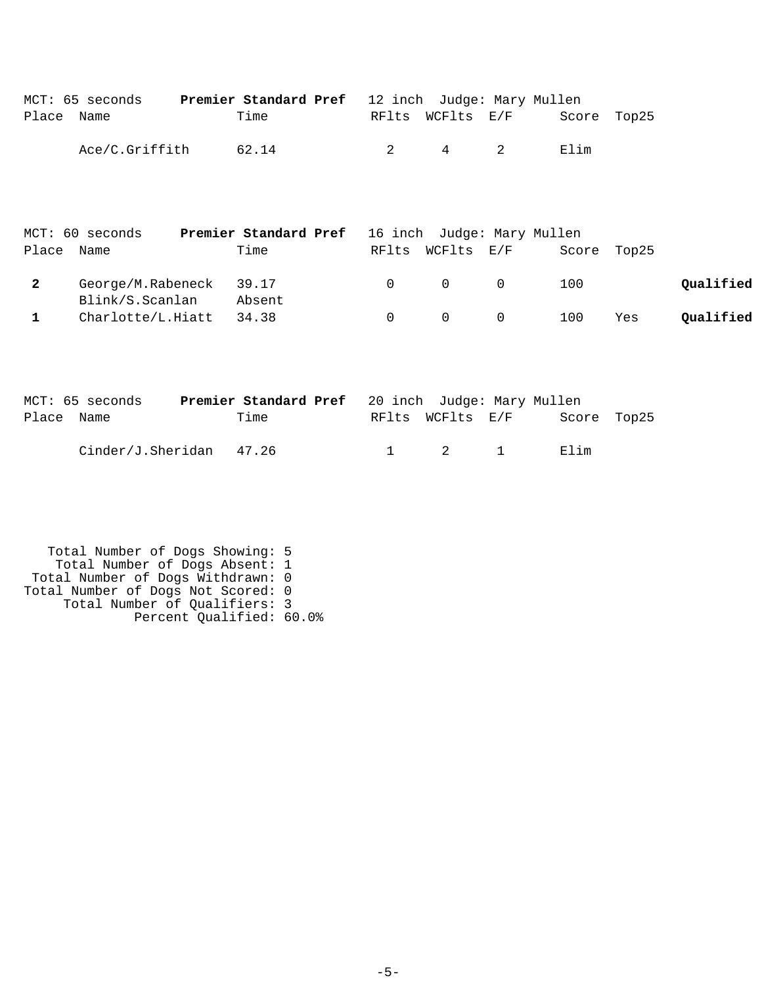|            | MCT: 65 seconds | <b>Premier Standard Pref</b> 12 inch Judge: Mary Mullen |                |                  |             |  |
|------------|-----------------|---------------------------------------------------------|----------------|------------------|-------------|--|
| Place Name |                 | Time                                                    |                | RFlts WCFlts E/F | Score Top25 |  |
|            | Ace/C.Griffith  | 62.14                                                   | $\overline{2}$ | 4 2              | Elim        |  |

|            | MCT: 60 seconds         | <b>Premier Standard Pref</b> 16 inch Judge: Mary Mullen |                                         |                |             |     |           |
|------------|-------------------------|---------------------------------------------------------|-----------------------------------------|----------------|-------------|-----|-----------|
| Place Name |                         | Time                                                    | RFlts WCFlts E/F                        |                | Score Top25 |     |           |
|            | George/M.Rabeneck 39.17 |                                                         | $\begin{matrix} 0 & 0 & 0 \end{matrix}$ |                | 100         |     | Oualified |
|            | Blink/S.Scanlan         | Absent                                                  |                                         |                |             |     |           |
|            | Charlotte/L.Hiatt       | 34.38                                                   | $\Omega$                                | $\overline{0}$ | 100         | Yes | Qualified |

|            | MCT: 65 seconds         | <b>Premier Standard Pref</b> 20 inch Judge: Mary Mullen |  |                       |             |  |
|------------|-------------------------|---------------------------------------------------------|--|-----------------------|-------------|--|
| Place Name |                         | Time                                                    |  | RFlts WCFlts E/F      | Score Top25 |  |
|            | Cinder/J.Sheridan 47.26 |                                                         |  | $1 \qquad 2 \qquad 1$ | Filim       |  |

 Total Number of Dogs Showing: 5 Total Number of Dogs Absent: 1 Total Number of Dogs Withdrawn: 0 Total Number of Dogs Not Scored: 0 Total Number of Qualifiers: 3 Percent Qualified: 60.0%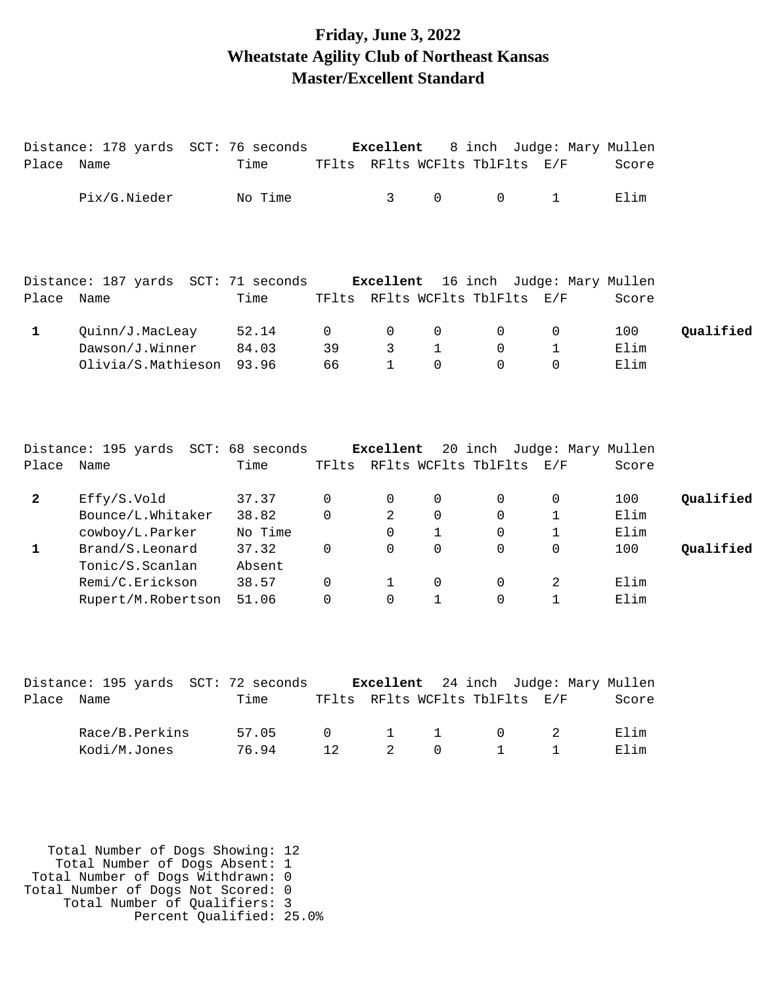## **Friday, June 3, 2022 Wheatstate Agility Club of Northeast Kansas Master/Excellent Standard**

|                | Distance: 178 yards SCT: 76 seconds           |         |          | Excellent    |              | 8 inch Judge: Mary Mullen                                    |              |       |           |
|----------------|-----------------------------------------------|---------|----------|--------------|--------------|--------------------------------------------------------------|--------------|-------|-----------|
| Place Name     |                                               | Time    |          |              |              | TFlts RFlts WCFlts TblFlts E/F                               |              | Score |           |
|                | Pix/G.Nieder                                  | No Time |          | 3            | $\mathbf 0$  | $\Omega$                                                     | $\mathbf{1}$ | Elim  |           |
| Place Name     | Distance: 187 yards SCT: 71 seconds           | Time    |          | Excellent    |              | 16 inch Judge: Mary Mullen<br>TFlts RFlts WCFlts TblFlts E/F |              | Score |           |
|                |                                               |         |          |              |              |                                                              |              |       |           |
| $\mathbf{1}$   | Quinn/J.MacLeay                               | 52.14   | 0        | 0            | 0            | 0                                                            | 0            | 100   | Qualified |
|                | Dawson/J.Winner                               | 84.03   | 39       | 3            | $\mathbf{1}$ | $\Omega$                                                     | $\mathbf{1}$ | Elim  |           |
|                | Olivia/S.Mathieson                            | 93.96   | 66       | $\mathbf{1}$ | $\Omega$     | $\Omega$                                                     | $\Omega$     | Elim  |           |
| Place Name     | Distance: 195 yards SCT: 68 seconds Excellent | Time    |          |              |              | 20 inch Judge: Mary Mullen<br>TFlts RFlts WCFlts TblFlts E/F |              | Score |           |
| $\overline{2}$ | Effy/S.Vold                                   | 37.37   | 0        | 0            | $\mathbf 0$  | 0                                                            | 0            | 100   | Qualified |
|                | Bounce/L.Whitaker                             | 38.82   | 0        | 2            | $\mathbf 0$  | 0                                                            | $\mathbf{1}$ | Elim  |           |
|                | cowboy/L.Parker                               | No Time |          | $\Omega$     | $\mathbf{1}$ | 0                                                            | 1            | Elim  |           |
| $\mathbf{1}$   | Brand/S.Leonard                               | 37.32   | 0        | 0            | $\mathbf 0$  | $\mathbf 0$                                                  | $\mathbf 0$  | 100   | Qualified |
|                | Tonic/S.Scanlan                               | Absent  |          |              |              |                                                              |              |       |           |
|                | Remi/C.Erickson                               | 38.57   | 0        | $\mathbf 1$  | $\mathbf 0$  | 0                                                            | 2            | Elim  |           |
|                | Rupert/M.Robertson                            | 51.06   | $\Omega$ | $\Omega$     | $\mathbf{1}$ | $\Omega$                                                     | $\mathbf{1}$ | Elim  |           |
|                |                                               |         |          |              |              |                                                              |              |       |           |
|                | Distance: 195 yards SCT: 72 seconds           |         |          | Excellent    |              | 24 inch Judge: Mary Mullen                                   |              |       |           |
| Place Name     |                                               | Time    |          |              |              | TFlts RFlts WCFlts TblFlts E/F                               |              | Score |           |

| Race/B.Perkins 57.05 0 1 1 0 2 Elim |                       |  |  |  |
|-------------------------------------|-----------------------|--|--|--|
| Kodi/M.Jones                        | 76.94 12 2 0 1 1 Elim |  |  |  |

 Total Number of Dogs Showing: 12 Total Number of Dogs Absent: 1 Total Number of Dogs Withdrawn: 0 Total Number of Dogs Not Scored: 0 Total Number of Qualifiers: 3 Percent Qualified: 25.0%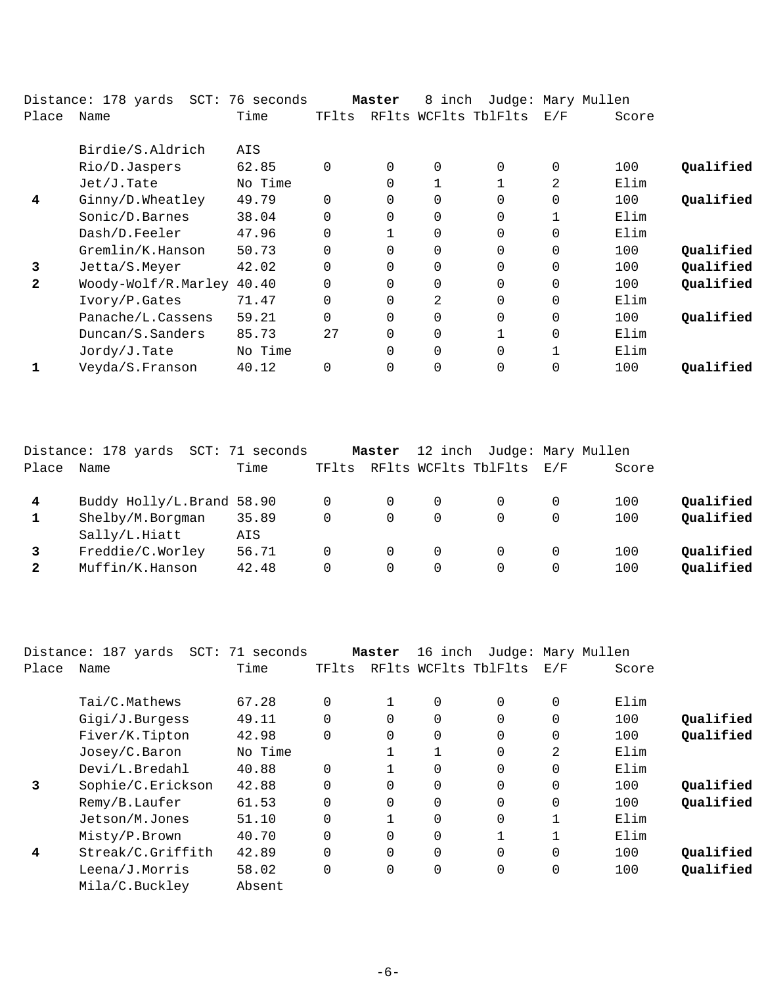|              | Distance: 178 yards | SCT: 76 seconds |          | Master   | 8 inch      |                      | Judge: Mary Mullen |       |           |
|--------------|---------------------|-----------------|----------|----------|-------------|----------------------|--------------------|-------|-----------|
| Place        | Name                | Time            | TFlts    |          |             | RFlts WCFlts TblFlts | E/F                | Score |           |
|              | Birdie/S.Aldrich    | AIS             |          |          |             |                      |                    |       |           |
|              | Rio/D.Jaspers       | 62.85           | $\Omega$ | $\Omega$ | $\Omega$    | $\Omega$             | 0                  | 100   | Qualified |
|              | $Jet/J$ . Tate      | No Time         |          | 0        |             |                      | 2                  | Elim  |           |
| 4            | Ginny/D.Wheatley    | 49.79           | $\Omega$ | 0        | $\Omega$    | $\Omega$             | $\Omega$           | 100   | Qualified |
|              | Sonic/D.Barnes      | 38.04           | $\Omega$ |          | $\mathbf 0$ | $\Omega$             | 1                  | Elim  |           |
|              | Dash/D.Feeler       | 47.96           | $\Omega$ |          | 0           | $\Omega$             | $\Omega$           | Elim  |           |
|              | Gremlin/K.Hanson    | 50.73           | $\Omega$ |          | 0           | $\Omega$             | $\mathbf 0$        | 100   | Qualified |
| 3            | Jetta/S.Meyer       | 42.02           | $\Omega$ | $\Omega$ | $\mathbf 0$ | $\Omega$             | $\Omega$           | 100   | Qualified |
| $\mathbf{2}$ | Woody-Wolf/R.Marley | 40.40           |          |          | $\Omega$    | $\Omega$             | $\mathbf 0$        | 100   | Qualified |
|              | Ivory/P.Gates       | 71.47           | 0        | 0        | 2           | $\Omega$             | $\Omega$           | Elim  |           |
|              | Panache/L.Cassens   | 59.21           | $\Omega$ |          | 0           | $\Omega$             | $\mathbf 0$        | 100   | Qualified |
|              | Duncan/S.Sanders    | 85.73           | 27       |          | 0           |                      | 0                  | Elim  |           |
|              | Jordy/J.Tate        | No Time         |          | $\Omega$ | $\Omega$    | $\Omega$             | 1                  | Elim  |           |
|              | Veyda/S.Franson     | 40.12           | $\Omega$ |          | 0           | $\Omega$             | 0                  | 100   | Oualified |
|              |                     |                 |          |          |             |                      |                    |       |           |

|       | Distance: 178 yards<br>SCT: | 71 seconds |       | Master   |          | 12 inch Judge: Mary Mullen |     |       |           |
|-------|-----------------------------|------------|-------|----------|----------|----------------------------|-----|-------|-----------|
| Place | Name                        | Time       | TFlts |          |          | RFlts WCFlts TblFlts       | E/F | Score |           |
|       | Buddy Holly/L.Brand 58.90   |            |       | 0        | $\Omega$ |                            | O   | 100   | Qualified |
|       | Shelby/M.Borgman            | 35.89      | 0     | 0        | $\Omega$ | 0                          |     | 100   | Qualified |
|       | Sally/L.Hiatt               | AIS        |       |          |          |                            |     |       |           |
|       | Freddie/C.Worley            | 56.71      | 0     |          | $\Omega$ | $\Omega$                   |     | 100   | Oualified |
| 2     | Muffin/K.Hanson             | 42.48      | 0     | $\Omega$ | $\Omega$ | 0                          |     | 100   | Qualified |
|       |                             |            |       |          |          |                            |     |       |           |

|       | Distance: 187 yards<br>SCT: | 71 seconds |          | Master         | 16 inch              |             | Judge: Mary Mullen |       |           |
|-------|-----------------------------|------------|----------|----------------|----------------------|-------------|--------------------|-------|-----------|
| Place | Name                        | Time       | TFlts    |                | RFlts WCFlts TblFlts |             | E/F                | Score |           |
|       | Tai/C.Mathews               | 67.28      | $\Omega$ | 1              | 0                    | 0           | $\mathbf 0$        | Elim  |           |
|       | Gigi/J.Burgess              | 49.11      | $\Omega$ | $\Omega$       | $\Omega$             | $\Omega$    | $\Omega$           | 100   | Qualified |
|       | Fiver/K.Tipton              | 42.98      | $\Omega$ | $\Omega$       | 0                    | $\Omega$    | $\mathbf 0$        | 100   | Qualified |
|       | Josey/C.Baron               | No Time    |          |                |                      | $\Omega$    | 2                  | Elim  |           |
|       | Devi/L.Bredahl              | 40.88      | $\Omega$ |                | 0                    | $\Omega$    | $\Omega$           | Elim  |           |
| 3     | Sophie/C.Erickson           | 42.88      | $\Omega$ | $\Omega$       | 0                    | $\Omega$    | $\mathbf 0$        | 100   | Oualified |
|       | Remy/B.Laufer               | 61.53      | $\Omega$ | $\Omega$       | 0                    | $\Omega$    | $\Omega$           | 100   | Qualified |
|       | Jetson/M.Jones              | 51.10      | $\Omega$ |                | 0                    | $\mathbf 0$ | 1                  | Elim  |           |
|       | Misty/P.Brown               | 40.70      | $\Omega$ | $\Omega$       | 0                    | 1           | 1                  | Elim  |           |
| 4     | Streak/C.Griffith           | 42.89      | $\Omega$ | $\overline{0}$ | 0                    | 0           | $\mathbf 0$        | 100   | Qualified |
|       | Leena/J.Morris              | 58.02      | $\Omega$ | $\Omega$       | $\mathbf 0$          | $\mathbf 0$ | $\mathbf 0$        | 100   | Qualified |
|       | Mila/C.Buckley              | Absent     |          |                |                      |             |                    |       |           |
|       |                             |            |          |                |                      |             |                    |       |           |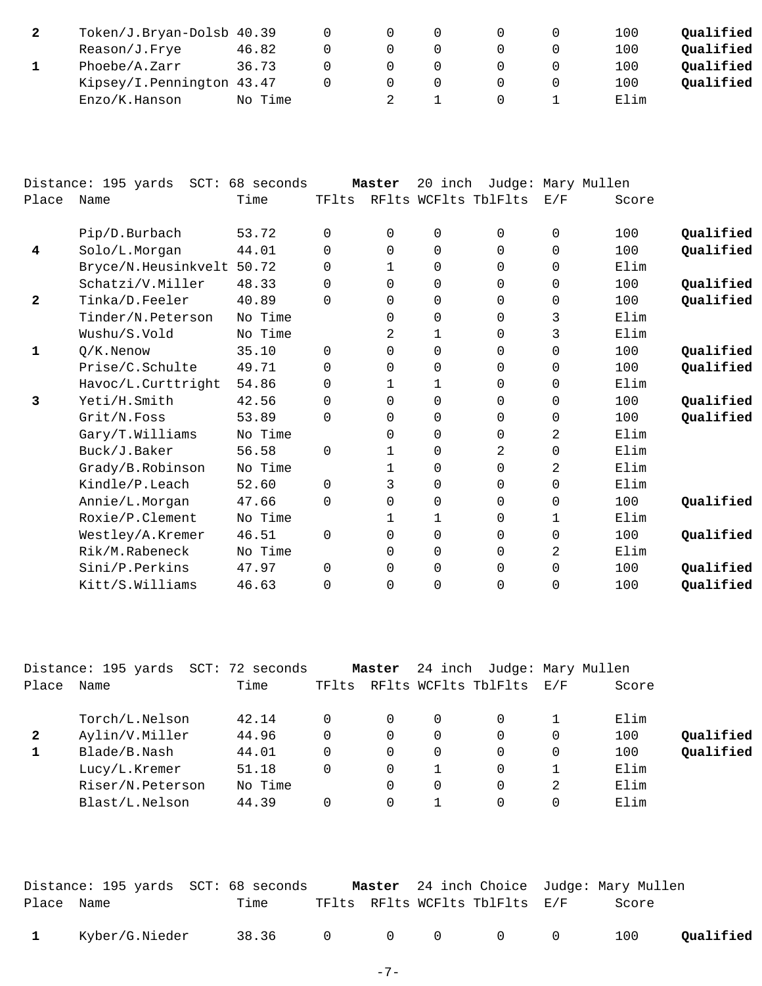| Token/J.Bryan-Dolsb 40.39 |         |  |  | 100  | Oualified |
|---------------------------|---------|--|--|------|-----------|
| Reason/J.Frye             | 46.82   |  |  | 100  | Oualified |
| Phoebe/A.Zarr             | 36.73   |  |  | 100  | Oualified |
| Kipsey/I.Pennington 43.47 |         |  |  | 100  | Oualified |
| Enzo/K.Hanson             | No Time |  |  | Elim |           |

|       | Distance: 195 yards<br>$SCT$ : | 68 seconds |          | Master       | 20 inch      |                      |          | Judge: Mary Mullen |           |
|-------|--------------------------------|------------|----------|--------------|--------------|----------------------|----------|--------------------|-----------|
| Place | Name                           | Time       | TFlts    |              |              | RFlts WCFlts TblFlts | E/F      | Score              |           |
|       | Pip/D.Burbach                  | 53.72      | $\Omega$ | $\Omega$     | $\mathbf 0$  | $\Omega$             | $\Omega$ | 100                | Qualified |
| 4     | Solo/L.Morgan                  | 44.01      | $\Omega$ | $\Omega$     | $\Omega$     | $\Omega$             | $\Omega$ | 100                | Qualified |
|       | Bryce/N.Heusinkvelt            | 50.72      | 0        | 1            | $\mathbf 0$  | $\Omega$             | $\Omega$ | Elim               |           |
|       | Schatzi/V.Miller               | 48.33      | $\Omega$ | $\Omega$     | $\mathbf 0$  | $\Omega$             | $\Omega$ | 100                | Qualified |
| 2     | Tinka/D.Feeler                 | 40.89      | $\Omega$ | $\Omega$     | $\mathbf 0$  | $\Omega$             | 0        | 100                | Qualified |
|       | Tinder/N.Peterson              | No Time    |          | $\Omega$     | $\mathbf 0$  | $\Omega$             | 3        | Elim               |           |
|       | Wushu/S.Vold                   | No Time    |          | 2            | $\mathbf{1}$ | $\Omega$             | 3        | Elim               |           |
| 1     | $Q/K$ . Nenow                  | 35.10      | $\Omega$ | 0            | $\mathbf 0$  | $\Omega$             | $\Omega$ | 100                | Qualified |
|       | Prise/C.Schulte                | 49.71      | $\Omega$ | 0            | $\mathbf 0$  | $\Omega$             | $\Omega$ | 100                | Qualified |
|       | Havoc/L.Curttright             | 54.86      | 0        | 1            | 1            | 0                    | $\Omega$ | Elim               |           |
| 3     | Yeti/H.Smith                   | 42.56      | $\Omega$ | 0            | $\mathbf 0$  | $\Omega$             | 0        | 100                | Qualified |
|       | Grit/N.Foss                    | 53.89      | $\Omega$ | $\Omega$     | $\mathbf 0$  | $\Omega$             | $\Omega$ | 100                | Qualified |
|       | Gary/T.Williams                | No Time    |          | 0            | $\Omega$     | $\Omega$             | 2        | Elim               |           |
|       | Buck/J.Baker                   | 56.58      | $\Omega$ | $\mathbf{1}$ | $\mathbf 0$  | 2                    | $\Omega$ | Elim               |           |
|       | Grady/B.Robinson               | No Time    |          | 1            | $\mathbf 0$  | $\Omega$             | 2        | Elim               |           |
|       | Kindle/P.Leach                 | 52.60      | $\Omega$ | 3            | $\mathbf 0$  | $\Omega$             | $\Omega$ | Elim               |           |
|       | Annie/L.Morgan                 | 47.66      | $\Omega$ | 0            | $\mathbf 0$  | $\Omega$             | 0        | 100                | Qualified |
|       | Roxie/P.Clement                | No Time    |          | 1            | 1            | $\Omega$             | 1        | Elim               |           |
|       | Westley/A.Kremer               | 46.51      | $\Omega$ | $\Omega$     | $\Omega$     | $\Omega$             | $\Omega$ | 100                | Qualified |
|       | Rik/M.Rabeneck                 | No Time    |          | 0            | $\mathbf 0$  | $\Omega$             | 2        | Elim               |           |
|       | Sini/P.Perkins                 | 47.97      | $\Omega$ | $\Omega$     | $\mathbf 0$  | $\Omega$             | $\Omega$ | 100                | Qualified |
|       | Kitt/S.Williams                | 46.63      | 0        | 0            | $\mathbf 0$  | $\Omega$             | 0        | 100                | Qualified |
|       |                                |            |          |              |              |                      |          |                    |           |

|              | Distance: 195 yards SCT: 72 seconds |         |              | Master   | 24 inch  | Judge: Mary Mullen       |          |       |           |
|--------------|-------------------------------------|---------|--------------|----------|----------|--------------------------|----------|-------|-----------|
| Place        | Name                                | Time    | TFlts        |          |          | RFlts WCFlts TblFlts E/F |          | Score |           |
|              | Torch/L.Nelson                      | 42.14   |              | $\Omega$ | $\Omega$ | $\Omega$                 |          | Elim  |           |
| $\mathbf{2}$ | Aylin/V.Miller                      | 44.96   | $\Omega$     | 0        | 0        | $\Omega$                 | 0        | 100   | Qualified |
|              | Blade/B.Nash                        | 44.01   | $\Omega$     | $\Omega$ | 0        | $\Omega$                 | $\Omega$ | 100   | Qualified |
|              | Lucy/L.Kremer                       | 51.18   | $\Omega$     | 0        |          | $\Omega$                 |          | Elim  |           |
|              | Riser/N.Peterson                    | No Time |              | 0        | 0        | $\Omega$                 | 2        | Elim  |           |
|              | Blast/L.Nelson                      | 44.39   | <sup>0</sup> | 0        |          | $\Omega$                 | 0        | Elim  |           |
|              |                                     |         |              |          |          |                          |          |       |           |

|              |                | Distance: 195 yards SCT: 68 seconds |  |                                | <b>Master</b> 24 inch Choice Judge: Mary Mullen |           |
|--------------|----------------|-------------------------------------|--|--------------------------------|-------------------------------------------------|-----------|
| Place Name   |                | Time                                |  | TFlts RFlts WCFlts TblFlts E/F | Score                                           |           |
| $\mathbf{1}$ | Kyber/G.Nieder | 38.36 0 0 0 0 0                     |  |                                | 100                                             | Qualified |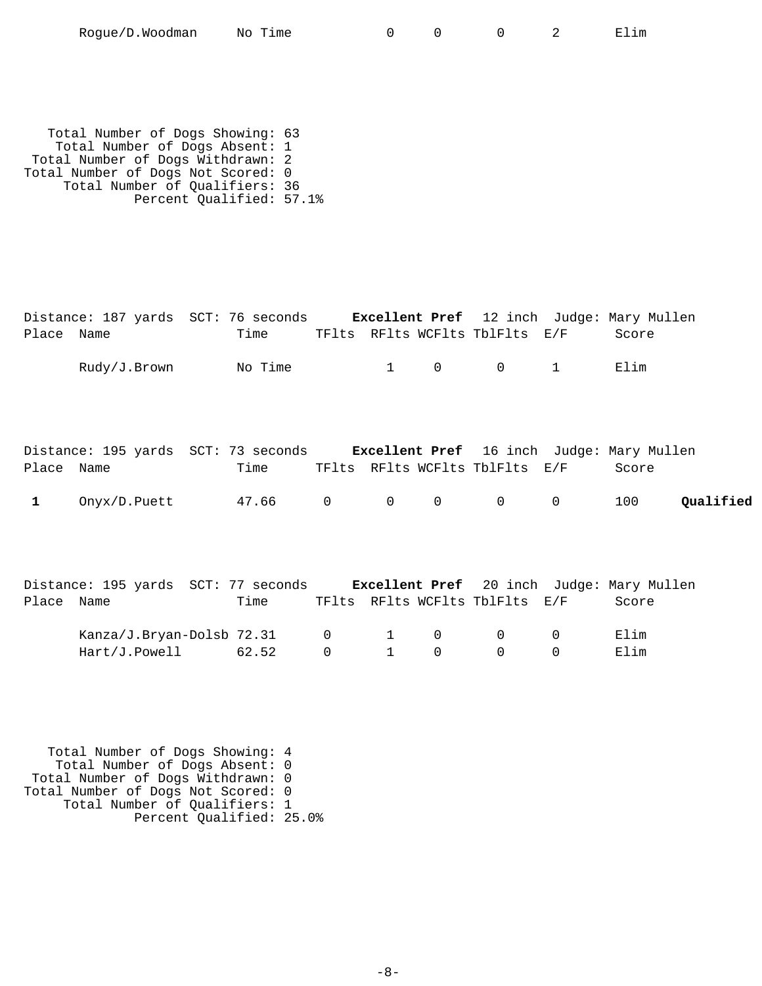| Roque/D.Woodman | No Time |  |  | Elım |
|-----------------|---------|--|--|------|
|-----------------|---------|--|--|------|

 Total Number of Dogs Showing: 63 Total Number of Dogs Absent: 1 Total Number of Dogs Withdrawn: 2 Total Number of Dogs Not Scored: 0 Total Number of Qualifiers: 36 Percent Qualified: 57.1%

|              | Distance: 187 yards SCT: 76 seconds Excellent Pref 12 inch Judge: Mary Mullen |       |                                  |                             |                               |                                |                               |              |           |
|--------------|-------------------------------------------------------------------------------|-------|----------------------------------|-----------------------------|-------------------------------|--------------------------------|-------------------------------|--------------|-----------|
| Place Name   |                                                                               | Time  |                                  |                             |                               | TFlts RFlts WCFlts TblFlts E/F |                               | Score        |           |
|              | Rudy/J.Brown No Time                                                          |       |                                  | $1 \quad \blacksquare$      |                               | $0\qquad \qquad 0$             | $1 \quad \blacksquare$        | Elim         |           |
| Place Name   | Distance: 195 yards SCT: 73 seconds Excellent Pref 16 inch Judge: Mary Mullen | Time  |                                  |                             |                               | TFlts RFlts WCFlts TblFlts E/F |                               | Score        |           |
| $\mathbf{1}$ | $Onyx/D.Puett$ 47.66 0 0 0 0                                                  |       |                                  |                             |                               |                                | $\overline{0}$                | 100          | Qualified |
| Place Name   | Distance: 195 yards SCT: 77 seconds Excellent Pref 20 inch Judge: Mary Mullen | Time  |                                  |                             |                               | TFlts RFlts WCFlts TblFlts E/F |                               | Score        |           |
|              | Kanza/J.Bryan-Dolsb 72.31<br>Hart/J.Powell                                    | 62.52 | $0 \qquad \qquad$<br>$\mathbf 0$ | $1 \quad \blacksquare$<br>1 | $\overline{0}$<br>$\mathbf 0$ | $\overline{0}$<br>$\mathbf 0$  | $\overline{0}$<br>$\mathbf 0$ | Elim<br>Elim |           |

 Total Number of Dogs Showing: 4 Total Number of Dogs Absent: 0 Total Number of Dogs Withdrawn: 0 Total Number of Dogs Not Scored: 0 Total Number of Qualifiers: 1 Percent Qualified: 25.0%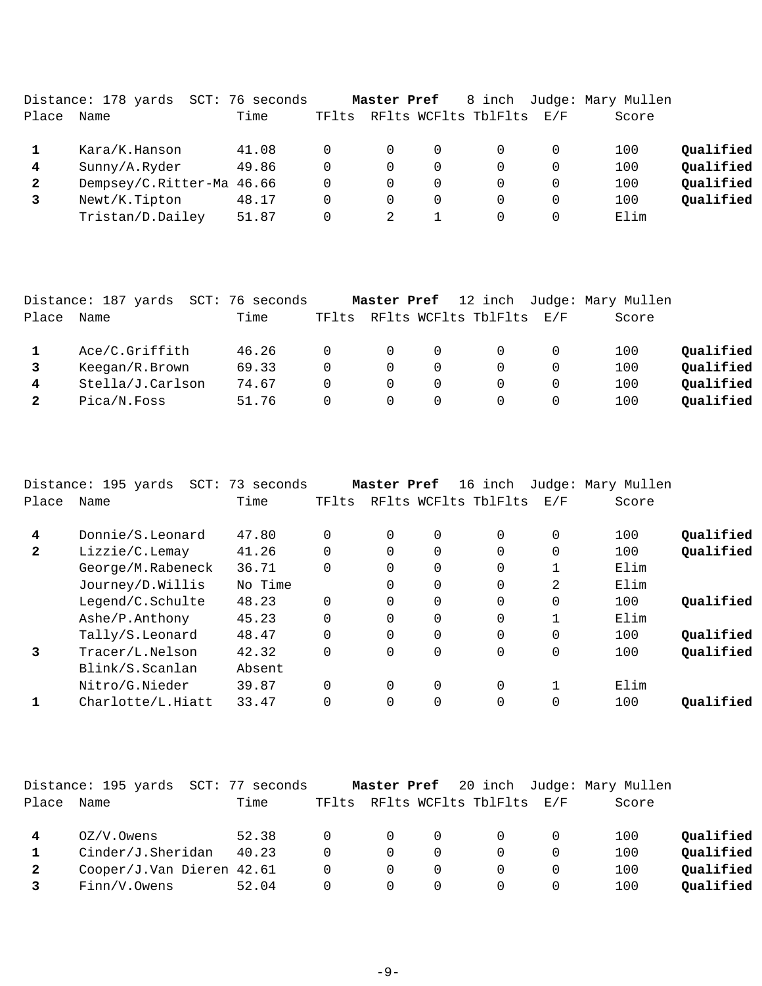|              | Distance: 178 yards<br>SCT: | 76 seconds |       | Master Pref |          | 8 inch               |     | Judge: Mary Mullen |           |
|--------------|-----------------------------|------------|-------|-------------|----------|----------------------|-----|--------------------|-----------|
| Place        | Name                        | Time       | TFlts |             |          | RFlts WCFlts TblFlts | E/F | Score              |           |
|              | Kara/K.Hanson               | 41.08      |       | 0           | $\Omega$ |                      | 0   | 100                | Qualified |
| 4            | Sunny/A.Ryder               | 49.86      |       | 0           | 0        |                      | 0   | 100                | Qualified |
| $\mathbf{2}$ | Dempsey/C.Ritter-Ma 46.66   |            |       | 0           | $\Omega$ |                      | 0   | 100                | Qualified |
|              | Newt/K.Tipton               | 48.17      |       | 0           | $\Omega$ |                      | 0   | 100                | Qualified |
|              | Tristan/D.Dailey            | 51.87      |       |             |          |                      | 0   | Elim               |           |

|              | Distance: 187 yards | SCT: 76 seconds |          | Master Pref |                      |          | 12 inch Judge: Mary Mullen |           |
|--------------|---------------------|-----------------|----------|-------------|----------------------|----------|----------------------------|-----------|
| Place        | Name                | Time            | TFlts    |             | RFlts WCFlts TblFlts | E/F      | Score                      |           |
|              | Ace/C.Griffith      | 46.26           | $\Omega$ | $\Omega$    | $\Omega$             |          | 100                        | Oualified |
|              | Keegan/R.Brown      | 69.33           | $\Omega$ | $\Omega$    |                      |          | 100                        | Qualified |
| 4            | Stella/J.Carlson    | 74.67           | $\Omega$ | $\Omega$    | $\Omega$             | $\Omega$ | 100                        | Qualified |
| $\mathbf{2}$ | Pica/N.Foss         | 51.76           | $\Omega$ | $\Omega$    |                      |          | 100                        | Qualified |

|              | Distance: 195 yards<br>SCT: | 73 seconds |          | Master Pref |             | 16 inch              |          | Judge: Mary Mullen |           |
|--------------|-----------------------------|------------|----------|-------------|-------------|----------------------|----------|--------------------|-----------|
| Place        | Name                        | Time       | TFlts    |             |             | RFlts WCFlts TblFlts | E/F      | Score              |           |
| 4            | Donnie/S.Leonard            | 47.80      |          | $\Omega$    | 0           | $\Omega$             | 0        | 100                | Oualified |
| $\mathbf{2}$ | Lizzie/C.Lemay              | 41.26      |          | $\Omega$    | 0           | $\Omega$             | 0        | 100                | Qualified |
|              | George/M.Rabeneck           | 36.71      | $\Omega$ | $\Omega$    | $\Omega$    | $\Omega$             | 1        | Elim               |           |
|              | Journey/D.Willis            | No Time    |          | $\Omega$    | $\Omega$    | $\Omega$             | 2        | Elim               |           |
|              | Legend/C.Schulte            | 48.23      | $\Omega$ | $\Omega$    | $\Omega$    | $\Omega$             | $\Omega$ | 100                | Qualified |
|              | Ashe/P.Anthony              | 45.23      |          | 0           | $\mathbf 0$ | 0                    | 1        | Elim               |           |
|              | Tally/S.Leonard             | 48.47      |          | $\Omega$    | $\Omega$    | $\Omega$             | $\Omega$ | 100                | Oualified |
| 3            | Tracer/L.Nelson             | 42.32      | $\Omega$ | $\Omega$    | $\Omega$    | $\Omega$             | $\Omega$ | 100                | Qualified |
|              | Blink/S.Scanlan             | Absent     |          |             |             |                      |          |                    |           |
|              | Nitro/G.Nieder              | 39.87      |          | $\Omega$    | $\Omega$    | $\Omega$             | 1        | Elim               |           |
|              | Charlotte/L.Hiatt           | 33.47      |          | 0           | $\Omega$    | $\Omega$             | $\Omega$ | 100                | Oualified |

|              | Distance: 195 yards SCT: 77 seconds |       |          | Master Pref |          |                                |   | 20 inch Judge: Mary Mullen |           |
|--------------|-------------------------------------|-------|----------|-------------|----------|--------------------------------|---|----------------------------|-----------|
| Place        | Name                                | Time  |          |             |          | TFlts RFlts WCFlts TblFlts E/F |   | Score                      |           |
|              | $OZ/V$ . Owens                      | 52.38 |          | $\Omega$    | $\Omega$ | $\Omega$                       |   | 100                        | Qualified |
|              | Cinder/J.Sheridan                   | 40.23 | $\Omega$ | $\Omega$    | $\Omega$ |                                |   | 100                        | Qualified |
| $\mathbf{2}$ | Cooper/J.Van Dieren 42.61           |       | $\Omega$ | $\Omega$    | $\Omega$ | $\Omega$                       |   | 100                        | Qualified |
|              | Finn/V.Owens                        | 52.04 |          | $\Omega$    | $\Omega$ | $\Omega$                       | 0 | 100                        | Qualified |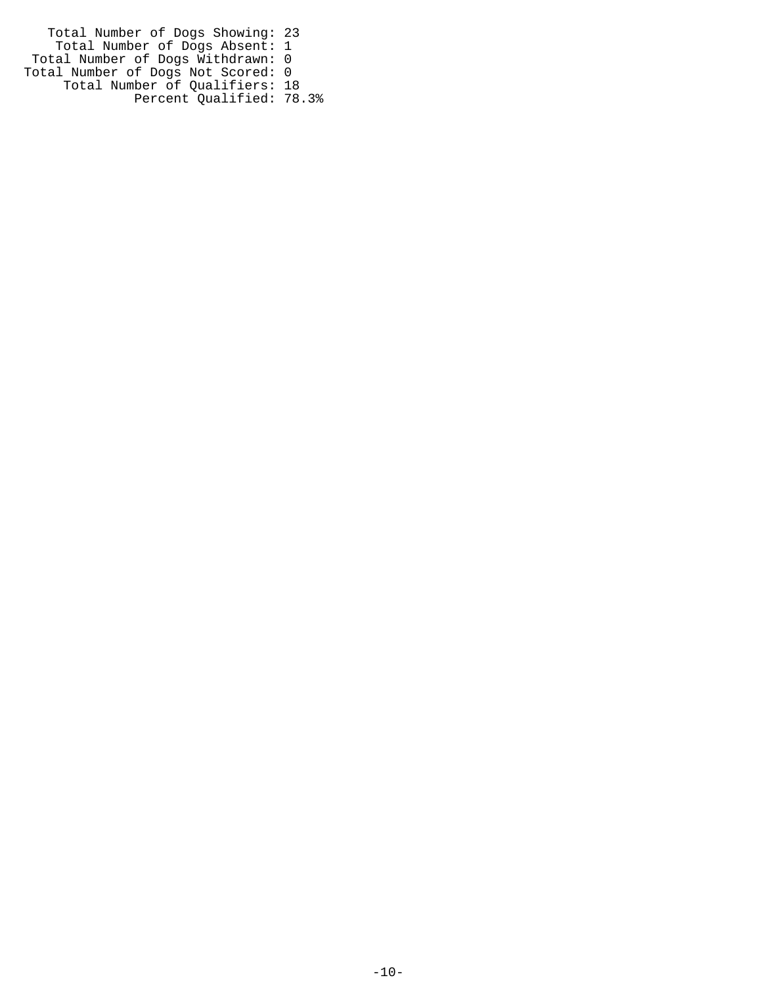Total Number of Dogs Showing: 23 Total Number of Dogs Absent: 1 Total Number of Dogs Withdrawn: 0 Total Number of Dogs Not Scored: 0 Total Number of Qualifiers: 18 Percent Qualified: 78.3%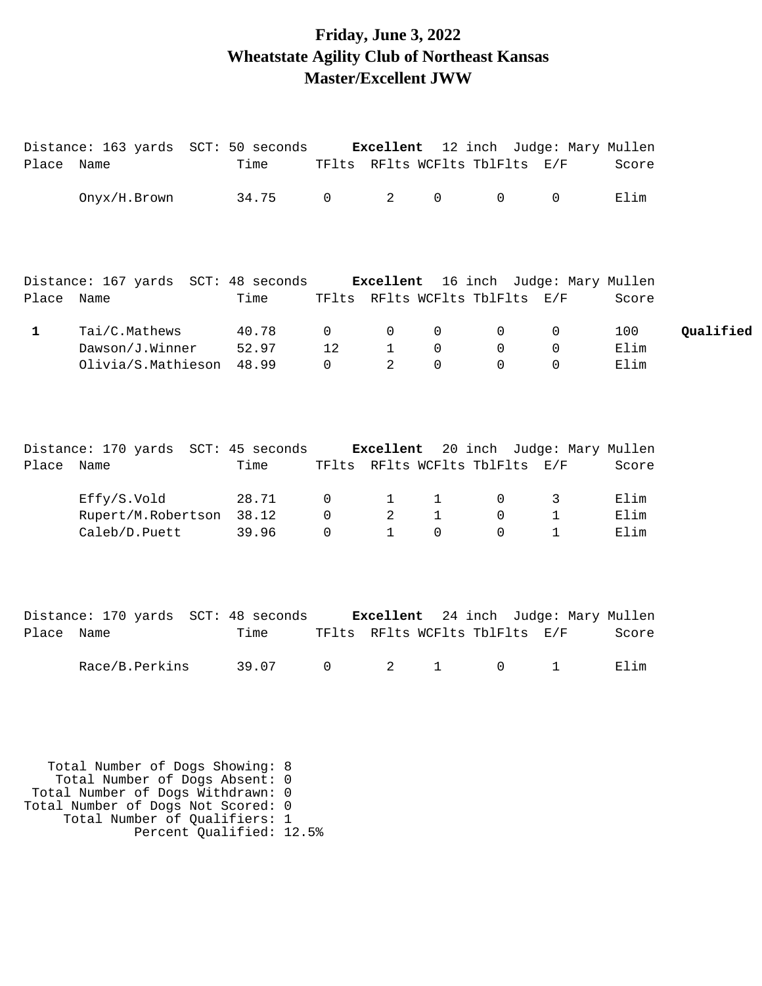## **Friday, June 3, 2022 Wheatstate Agility Club of Northeast Kansas Master/Excellent JWW**

|              | Distance: 163 yards SCT: 50 seconds Excellent 12 inch Judge: Mary Mullen                                                                     |                         |                                      |                        |                          |                                |                              |                     |           |
|--------------|----------------------------------------------------------------------------------------------------------------------------------------------|-------------------------|--------------------------------------|------------------------|--------------------------|--------------------------------|------------------------------|---------------------|-----------|
| Place Name   |                                                                                                                                              | Time                    |                                      |                        |                          | TFlts RFlts WCFlts TblFlts E/F |                              | Score               |           |
|              | Onyx/H.Brown                                                                                                                                 | 34.75                   | $\mathsf{O}$                         | 2                      | $\mathsf{O}\xspace$      | $\mathbf 0$                    | 0                            | Elim                |           |
|              | Distance: 167 yards SCT: 48 seconds Excellent 16 inch Judge: Mary Mullen                                                                     |                         |                                      |                        |                          |                                |                              |                     |           |
| Place Name   |                                                                                                                                              | Time                    |                                      |                        |                          | TFlts RFlts WCFlts TblFlts E/F |                              | Score               |           |
| $\mathbf{1}$ | Tai/C.Mathews<br>Dawson/J.Winner<br>Olivia/S.Mathieson                                                                                       | 40.78<br>52.97<br>48.99 | $\overline{0}$<br>12<br>$\mathsf{O}$ | 0<br>$\mathbf{1}$<br>2 | 0<br>$\mathbf 0$<br>0    | 0<br>0<br>0                    | 0<br>0<br>$\mathbf 0$        | 100<br>Elim<br>Elim | Qualified |
| Place Name   | Distance: 170 yards SCT: 45 seconds Excellent 20 inch Judge: Mary Mullen                                                                     | Time                    |                                      |                        |                          | TFlts RFlts WCFlts TblFlts E/F |                              | Score               |           |
|              |                                                                                                                                              |                         |                                      |                        |                          |                                |                              |                     |           |
|              | Effy/S.Vold                                                                                                                                  | 28.71                   | 0                                    | $\mathbf{1}$           | $\mathbf{1}$             | 0                              | 3                            | Elim                |           |
|              | Rupert/M.Robertson<br>Caleb/D.Puett                                                                                                          | 38.12<br>39.96          | 0<br>$\Omega$                        | 2<br>$\mathbf{1}$      | $\mathbf{1}$<br>$\Omega$ | $\overline{0}$<br>$\Omega$     | $\mathbf{1}$<br>$\mathbf{1}$ | Elim<br>Elim        |           |
|              | Distance: 170 yards SCT: 48 seconds Excellent 24 inch Judge: Mary Mullen                                                                     |                         |                                      |                        |                          |                                |                              |                     |           |
| Place Name   |                                                                                                                                              | Time                    |                                      |                        |                          | TFlts RFlts WCFlts TblFlts E/F |                              | Score               |           |
|              | Race/B.Perkins                                                                                                                               | 39.07                   | $\mathsf{O}$                         | 2                      | $\mathbf{1}$             | $\mathsf{O}$                   | $\mathbf 1$                  | Elim                |           |
|              | Total Number of Dogs Showing: 8<br>Total Number of Dogs Absent: 0<br>Total Number of Dogs Withdrawn: 0<br>Total Number of Dogs Not Scored: 0 |                         |                                      |                        |                          |                                |                              |                     |           |
|              | Total Number of Qualifiers: 1                                                                                                                |                         |                                      |                        |                          |                                |                              |                     |           |

Percent Qualified: 12.5%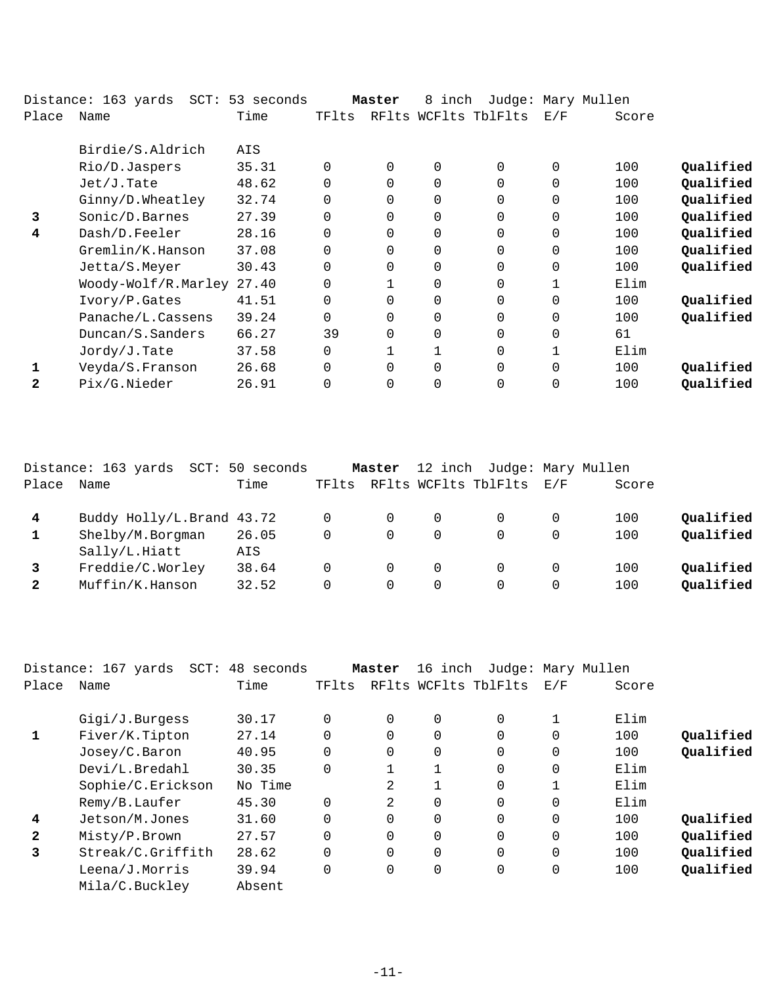|              | $SCT$ :<br>Distance: 163 yards | 53 seconds |          | Master   | 8<br>inch   |                      |          | Judge: Mary Mullen |           |
|--------------|--------------------------------|------------|----------|----------|-------------|----------------------|----------|--------------------|-----------|
| Place        | Name                           | Time       | TFlts    |          |             | RFlts WCFlts TblFlts | E/F      | Score              |           |
|              | Birdie/S.Aldrich               | AIS        |          |          |             |                      |          |                    |           |
|              | Rio/D.Jaspers                  | 35.31      | 0        | $\Omega$ | 0           | $\Omega$             | $\Omega$ | 100                | Qualified |
|              | Jet/J.Tate                     | 48.62      | $\Omega$ | $\Omega$ | 0           | $\Omega$             | $\Omega$ | 100                | Qualified |
|              | Ginny/D.Wheatley               | 32.74      | $\Omega$ | $\Omega$ | 0           | $\Omega$             | 0        | 100                | Qualified |
| 3            | Sonic/D.Barnes                 | 27.39      | $\Omega$ | 0        | $\Omega$    | $\Omega$             | $\Omega$ | 100                | Qualified |
| 4            | Dash/D.Feeler                  | 28.16      | $\Omega$ | $\Omega$ | $\Omega$    | $\Omega$             | $\Omega$ | 100                | Qualified |
|              | Gremlin/K.Hanson               | 37.08      | $\Omega$ | $\Omega$ | 0           | $\Omega$             | $\Omega$ | 100                | Qualified |
|              | Jetta/S.Meyer                  | 30.43      | $\Omega$ | $\Omega$ | 0           | $\Omega$             | $\Omega$ | 100                | Qualified |
|              | Woody-Wolf/R.Marley 27.40      |            | $\Omega$ |          | 0           | $\Omega$             |          | Elim               |           |
|              | Ivory/P.Gates                  | 41.51      | $\Omega$ | $\Omega$ | 0           | $\Omega$             | 0        | 100                | Qualified |
|              | Panache/L.Cassens              | 39.24      | $\Omega$ | 0        | $\mathbf 0$ | $\Omega$             | $\Omega$ | 100                | Qualified |
|              | Duncan/S.Sanders               | 66.27      | 39       | $\Omega$ | 0           | $\Omega$             | 0        | 61                 |           |
|              | Jordy/J.Tate                   | 37.58      | 0        |          |             | $\Omega$             |          | Elim               |           |
|              | Veyda/S.Franson                | 26.68      | $\Omega$ | $\Omega$ | $\Omega$    | $\Omega$             | $\Omega$ | 100                | Qualified |
| $\mathbf{2}$ | Pix/G.Nieder                   | 26.91      |          | $\Omega$ | $\Omega$    | $\Omega$             |          | 100                | Qualified |
|              |                                |            |          |          |             |                      |          |                    |           |

|                | Distance: 163 yards<br>SCT:         | 50 seconds     |       | Master        |                         | 12 inch Judge: Mary Mullen |     |            |                        |
|----------------|-------------------------------------|----------------|-------|---------------|-------------------------|----------------------------|-----|------------|------------------------|
| Place          | Name                                | Time           | TFlts |               |                         | RFlts WCFlts TblFlts       | E/F | Score      |                        |
| $\overline{4}$ | Buddy Holly/L.Brand 43.72           |                |       | $\Omega$      | $\Omega$                |                            |     | 100        | Qualified              |
|                | Shelby/M.Borgman<br>Sally/L.Hiatt   | 26.05<br>AIS   | 0     | 0             | 0                       | 0                          |     | 100        | Qualified              |
|                | Freddie/C.Worley<br>Muffin/K.Hanson | 38.64<br>32.52 | 0     | $\Omega$<br>0 | $\Omega$<br>$\mathbf 0$ | 0                          |     | 100<br>100 | Qualified<br>Qualified |

|              | Distance: 167 yards<br>SCT: | 48 seconds |          | Master   | 16 inch |                      |          | Judge: Mary Mullen |           |
|--------------|-----------------------------|------------|----------|----------|---------|----------------------|----------|--------------------|-----------|
| Place        | Name                        | Time       | TFlts    |          |         | RFlts WCFlts TblFlts | E/F      | Score              |           |
|              | Gigi/J.Burgess              | 30.17      | $\Omega$ | $\Omega$ | 0       | 0                    |          | Elim               |           |
| 1            | Fiver/K.Tipton              | 27.14      | $\Omega$ | $\Omega$ | 0       | 0                    | 0        | 100                | Oualified |
|              | Josey/C.Baron               | 40.95      | $\Omega$ | $\Omega$ | 0       | $\Omega$             | 0        | 100                | Qualified |
|              | Devi/L.Bredahl              | 30.35      | $\Omega$ |          |         | $\Omega$             | 0        | Elim               |           |
|              | Sophie/C.Erickson           | No Time    |          | 2        |         | $\Omega$             |          | Elim               |           |
|              | Remy/B.Laufer               | 45.30      | $\Omega$ | 2        | 0       | 0                    | 0        | Elim               |           |
| 4            | Jetson/M.Jones              | 31.60      | $\Omega$ | $\Omega$ | 0       | $\Omega$             | $\Omega$ | 100                | Qualified |
| $\mathbf{2}$ | Misty/P.Brown               | 27.57      | $\Omega$ | $\Omega$ | 0       | $\Omega$             | 0        | 100                | Qualified |
| 3            | Streak/C.Griffith           | 28.62      | $\Omega$ | $\Omega$ | 0       | $\Omega$             | $\Omega$ | 100                | Qualified |
|              | Leena/J.Morris              | 39.94      | 0        | 0        | 0       | 0                    | 0        | 100                | Qualified |
|              | Mila/C.Buckley              | Absent     |          |          |         |                      |          |                    |           |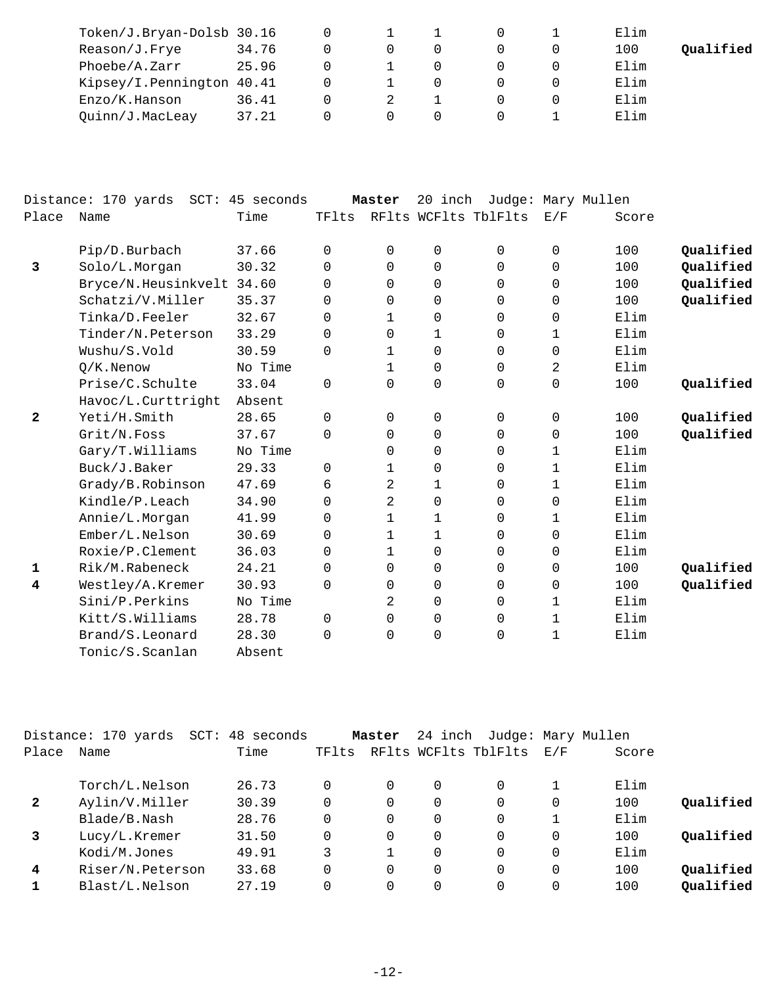| Token/J.Bryan-Dolsb 30.16 |       |  |  | Elim |           |
|---------------------------|-------|--|--|------|-----------|
| Reason/J.Frye             | 34.76 |  |  | 100  | Qualified |
| Phoebe/A.Zarr             | 25.96 |  |  | Elim |           |
| Kipsey/I.Pennington 40.41 |       |  |  | Elim |           |
| Enzo/K.Hanson             | 36.41 |  |  | Elim |           |
| Quinn/J.MacLeay           | 37.21 |  |  | Elim |           |

|              | Distance: 170 yards SCT: 45 seconds |         |             | Master         | 20 inch |                      | Judge: Mary Mullen |       |           |
|--------------|-------------------------------------|---------|-------------|----------------|---------|----------------------|--------------------|-------|-----------|
| Place        | Name                                | Time    | TFlts       |                |         | RFlts WCFlts TblFlts | E/F                | Score |           |
|              | Pip/D.Burbach                       | 37.66   | 0           | 0              | 0       | $\Omega$             | 0                  | 100   | Qualified |
| 3            | Solo/L.Morgan                       | 30.32   | 0           | 0              | 0       | 0                    | $\mathbf 0$        | 100   | Qualified |
|              | Bryce/N.Heusinkvelt 34.60           |         | $\Omega$    | 0              | 0       | $\Omega$             | $\Omega$           | 100   | Qualified |
|              | Schatzi/V.Miller                    | 35.37   | $\Omega$    | 0              | 0       | $\Omega$             | $\Omega$           | 100   | Qualified |
|              | Tinka/D.Feeler                      | 32.67   | 0           | 1              | 0       | 0                    | 0                  | Elim  |           |
|              | Tinder/N.Peterson                   | 33.29   | $\Omega$    | 0              | 1       | $\Omega$             | 1                  | Elim  |           |
|              | Wushu/S.Vold                        | 30.59   | $\Omega$    | 1              | 0       | $\Omega$             | $\mathbf 0$        | Elim  |           |
|              | $Q/K$ . Nenow                       | No Time |             | 1              | 0       | $\Omega$             | 2                  | Elim  |           |
|              | Prise/C.Schulte                     | 33.04   | $\Omega$    | $\Omega$       | 0       | $\Omega$             | $\mathbf 0$        | 100   | Qualified |
|              | Havoc/L.Curttright                  | Absent  |             |                |         |                      |                    |       |           |
| $\mathbf{2}$ | Yeti/H.Smith                        | 28.65   | $\mathbf 0$ | 0              | 0       | $\Omega$             | $\mathbf 0$        | 100   | Qualified |
|              | Grit/N.Foss                         | 37.67   | $\Omega$    | 0              | 0       | $\Omega$             | $\mathbf 0$        | 100   | Qualified |
|              | Gary/T.Williams                     | No Time |             | 0              | 0       | $\Omega$             | 1                  | Elim  |           |
|              | Buck/J.Baker                        | 29.33   | $\Omega$    | 1              | 0       | $\Omega$             | 1                  | Elim  |           |
|              | Grady/B.Robinson                    | 47.69   | 6           | $\overline{2}$ | 1       | $\Omega$             | $\mathbf{1}$       | Elim  |           |
|              | Kindle/P.Leach                      | 34.90   | $\Omega$    | 2              | 0       | 0                    | 0                  | Elim  |           |
|              | Annie/L.Morgan                      | 41.99   | $\Omega$    | 1              | 1       | $\Omega$             | 1                  | Elim  |           |
|              | Ember/L.Nelson                      | 30.69   | 0           | 1              | 1       | $\Omega$             | $\mathbf 0$        | Elim  |           |
|              | Roxie/P.Clement                     | 36.03   | 0           |                |         |                      |                    | Elim  |           |
|              |                                     |         |             | 1              | 0       | 0                    | 0                  |       |           |
| 1            | Rik/M.Rabeneck                      | 24.21   | $\Omega$    | 0              | 0       | $\Omega$             | 0                  | 100   | Qualified |
| 4            | Westley/A.Kremer                    | 30.93   | 0           | 0              | 0       | $\mathbf 0$          | $\mathbf 0$        | 100   | Qualified |
|              | Sini/P.Perkins                      | No Time |             | 2              | 0       | 0                    | 1                  | Elim  |           |
|              | Kitt/S.Williams                     | 28.78   | $\Omega$    | 0              | 0       | $\Omega$             | $\mathbf 1$        | Elim  |           |
|              | Brand/S.Leonard                     | 28.30   | $\Omega$    | 0              | 0       | $\Omega$             | $\mathbf 1$        | Elim  |           |
|              | Tonic/S.Scanlan                     | Absent  |             |                |         |                      |                    |       |           |

|       | Distance: 170 yards<br>$SCT$ : | 48 seconds |       | Master   | 24 inch |                      |     | Judge: Mary Mullen |           |
|-------|--------------------------------|------------|-------|----------|---------|----------------------|-----|--------------------|-----------|
| Place | Name                           | Time       | TFlts |          |         | RFlts WCFlts TblFlts | E/F | Score              |           |
|       | Torch/L.Nelson                 | 26.73      |       |          | 0       | 0                    |     | Elim               |           |
| 2     | Aylin/V.Miller                 | 30.39      |       | $\Omega$ |         | 0                    | 0   | 100                | Qualified |
|       | Blade/B.Nash                   | 28.76      |       | $\Omega$ | 0       | $\Omega$             |     | Elim               |           |
|       | Lucy/L.Kremer                  | 31.50      |       | $\Omega$ | 0       | 0                    | 0   | 100                | Oualified |
|       | Kodi/M.Jones                   | 49.91      | 3     |          | 0       | $\Omega$             | 0   | Elim               |           |
| 4     | Riser/N.Peterson               | 33.68      |       | $\Omega$ | 0       | 0                    | 0   | 100                | Oualified |
|       | Blast/L.Nelson                 | 27.19      |       |          | 0       | 0                    |     | 100                | Qualified |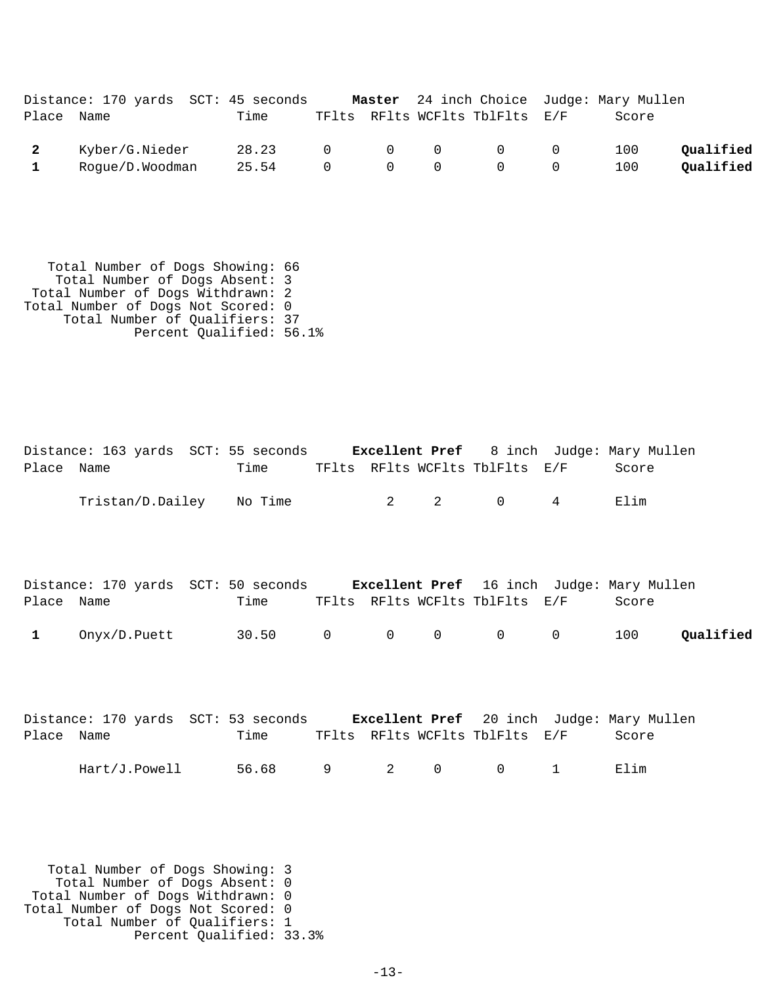|            | Distance: 170 yards SCT: 45 seconds |       |                                                      |  |                                                    | <b>Master</b> 24 inch Choice Judge: Mary Mullen |           |
|------------|-------------------------------------|-------|------------------------------------------------------|--|----------------------------------------------------|-------------------------------------------------|-----------|
| Place Name |                                     | Time  |                                                      |  | TFlts RFlts WCFlts TblFlts E/F                     | Score                                           |           |
| 2          | Kyber/G.Nieder                      | 28.23 |                                                      |  | $\begin{matrix} 0 & 0 & 0 & 0 & 0 \end{matrix}$    | 100                                             | Qualified |
|            | Rogue/D.Woodman                     | 25.54 | $\begin{array}{ccccccc}\n0 & & 0 & & 0\n\end{array}$ |  | $\begin{array}{ccc} & & & 0 & \quad & \end{array}$ | 100                                             | Qualified |

 Total Number of Dogs Showing: 66 Total Number of Dogs Absent: 3 Total Number of Dogs Withdrawn: 2 Total Number of Dogs Not Scored: 0 Total Number of Qualifiers: 37 Percent Qualified: 56.1%

|              | Distance: 163 yards SCT: 55 seconds Excellent Pref 8 inch Judge: Mary Mullen  |       |   |                                |              |                                |             |       |           |
|--------------|-------------------------------------------------------------------------------|-------|---|--------------------------------|--------------|--------------------------------|-------------|-------|-----------|
| Place Name   |                                                                               | Time  |   |                                |              | TFlts RFlts WCFlts TblFlts E/F |             | Score |           |
|              | Tristan/D.Dailey No Time                                                      |       |   | $2 \left( \frac{1}{2} \right)$ | 2            | $\overline{0}$                 | 4           | Elim  |           |
| Place Name   | Distance: 170 yards SCT: 50 seconds Excellent Pref 16 inch Judge: Mary Mullen | Time  |   |                                |              | TFlts RFlts WCFlts TblFlts E/F |             | Score |           |
| $\mathbf{1}$ | Onyx/D.Puett 30.50 0                                                          |       |   | $\overline{0}$                 | $\mathbf 0$  | $\overline{0}$                 | $\mathbf 0$ | 100   | Qualified |
| Place Name   | Distance: 170 yards SCT: 53 seconds Excellent Pref 20 inch Judge: Mary Mullen | Time  |   |                                |              | TFlts RFlts WCFlts TblFlts E/F |             | Score |           |
|              | Hart/J.Powell                                                                 | 56.68 | 9 | 2                              | $\mathsf{O}$ | 0                              | 1           | Elim  |           |

 Total Number of Dogs Showing: 3 Total Number of Dogs Absent: 0 Total Number of Dogs Withdrawn: 0 Total Number of Dogs Not Scored: 0 Total Number of Qualifiers: 1 Percent Qualified: 33.3%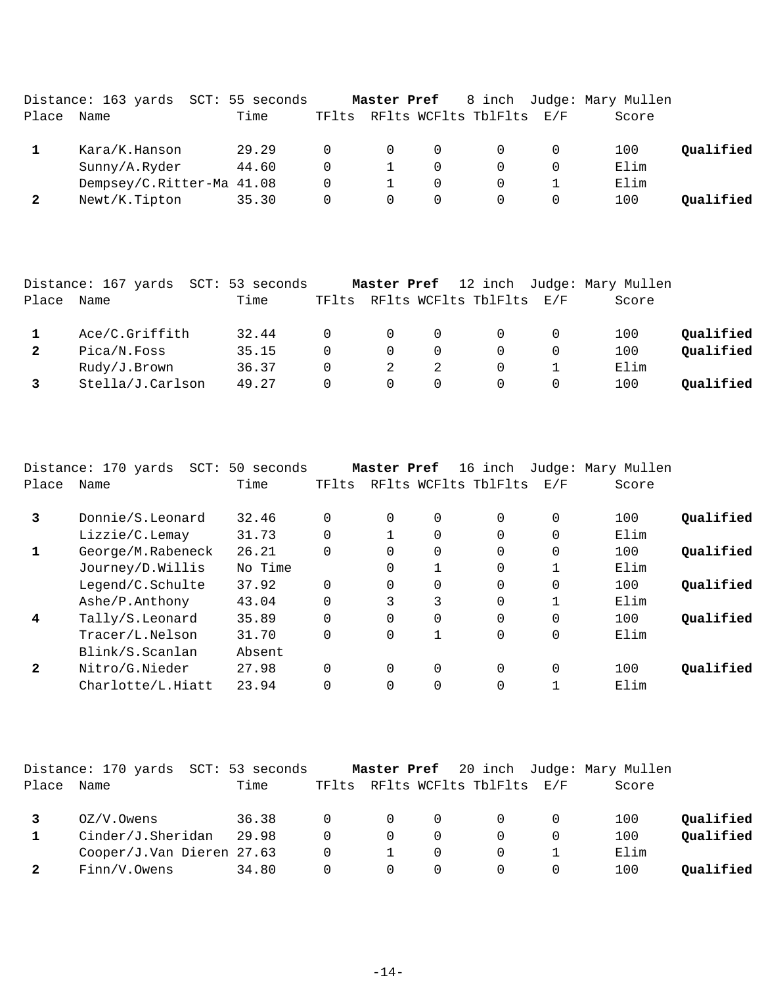|       | Distance: 163 yards SCT: 55 seconds |       |          | Master Pref |          |                      |     | 8 inch Judge: Mary Mullen |           |
|-------|-------------------------------------|-------|----------|-------------|----------|----------------------|-----|---------------------------|-----------|
| Place | Name                                | Time  | TFlts    |             |          | RFlts WCFlts TblFlts | E/F | Score                     |           |
|       | Kara/K.Hanson                       | 29.29 | $\Omega$ | $\Omega$    |          |                      |     | 100                       | Oualified |
|       | Sunny/A.Ryder                       | 44.60 | $\Omega$ |             |          |                      |     | Elim                      |           |
|       | Dempsey/C.Ritter-Ma 41.08           |       | 0        |             |          |                      |     | Elim                      |           |
|       | Newt/K.Tipton                       | 35.30 | 0        | $\Omega$    | $\Omega$ |                      |     | 100                       | Oualified |

|       | Distance: 167 yards SCT: 53 seconds |       |          |                |          |                          | Master Pref 12 inch Judge: Mary Mullen |           |
|-------|-------------------------------------|-------|----------|----------------|----------|--------------------------|----------------------------------------|-----------|
| Place | Name                                | Time  | TFlts    |                |          | RFlts WCFlts TblFlts E/F | Score                                  |           |
|       | Ace/C.Griffith                      | 32.44 | $\Omega$ | $\overline{0}$ | - 0      | $\Omega$                 | 100                                    | Qualified |
|       | Pica/N.Foss                         | 35.15 | $\Omega$ | $\Omega$       |          |                          | 100                                    | Qualified |
|       | Rudy/J.Brown                        | 36.37 | $\Omega$ |                |          | $\Omega$                 | Elim                                   |           |
|       | Stella/J.Carlson                    | 49.27 | 0        | $\Omega$       | $\Omega$ |                          | 100                                    | Qualified |

|              | Distance: 170 yards<br>$SCT$ : | 50 seconds |          | Master Pref |             | 16 inch              |          | Judge: Mary Mullen |           |
|--------------|--------------------------------|------------|----------|-------------|-------------|----------------------|----------|--------------------|-----------|
| Place        | Name                           | Time       | TFlts    |             |             | RFlts WCFlts TblFlts | E/F      | Score              |           |
| 3            | Donnie/S.Leonard               | 32.46      | $\Omega$ | $\Omega$    | 0           | $\Omega$             | 0        | 100                | Oualified |
|              | Lizzie/C.Lemay                 | 31.73      | $\Omega$ |             | $\Omega$    | $\Omega$             | $\Omega$ | Elim               |           |
| 1            | George/M.Rabeneck              | 26.21      | 0        | $\Omega$    | $\Omega$    | $\Omega$             | 0        | 100                | Qualified |
|              | Journey/D.Willis               | No Time    |          | $\Omega$    | 1           | $\Omega$             |          | Elim               |           |
|              | Legend/C.Schulte               | 37.92      | $\Omega$ | $\Omega$    | $\Omega$    | $\Omega$             | 0        | 100                | Qualified |
|              | Ashe/P.Anthony                 | 43.04      | $\Omega$ | 3           | 3           | $\Omega$             |          | Elim               |           |
| 4            | Tally/S.Leonard                | 35.89      | $\Omega$ | $\Omega$    | $\Omega$    | $\Omega$             | $\Omega$ | 100                | Oualified |
|              | Tracer/L.Nelson                | 31.70      | $\Omega$ | $\Omega$    | 1           | $\Omega$             | $\Omega$ | Elim               |           |
|              | Blink/S.Scanlan                | Absent     |          |             |             |                      |          |                    |           |
| $\mathbf{2}$ | Nitro/G.Nieder                 | 27.98      | $\Omega$ | 0           | $\mathbf 0$ | $\Omega$             | 0        | 100                | Oualified |
|              | Charlotte/L.Hiatt              | 23.94      | 0        | $\Omega$    | $\Omega$    | $\Omega$             |          | Elim               |           |

|       | Distance: 170 yards SCT: 53 seconds |       |                |                |          |                                |   | <b>Master Pref</b> 20 inch Judge: Mary Mullen |           |
|-------|-------------------------------------|-------|----------------|----------------|----------|--------------------------------|---|-----------------------------------------------|-----------|
| Place | Name                                | Time  |                |                |          | TFlts RFlts WCFlts TblFlts E/F |   | Score                                         |           |
|       | OZ/V.Owens                          | 36.38 | $\overline{0}$ | $\overline{0}$ | 0        | $\Omega$                       |   | 100                                           | Qualified |
|       | Cinder/J.Sheridan                   | 29.98 |                | $\Omega$       | $\Omega$ |                                |   | 100                                           | Qualified |
|       | Cooper/J.Van Dieren 27.63           |       | - 0            |                |          |                                |   | Elim                                          |           |
|       | Finn/V.Owens                        | 34.80 |                | 0              | $\Omega$ |                                | 0 | 100                                           | Qualified |